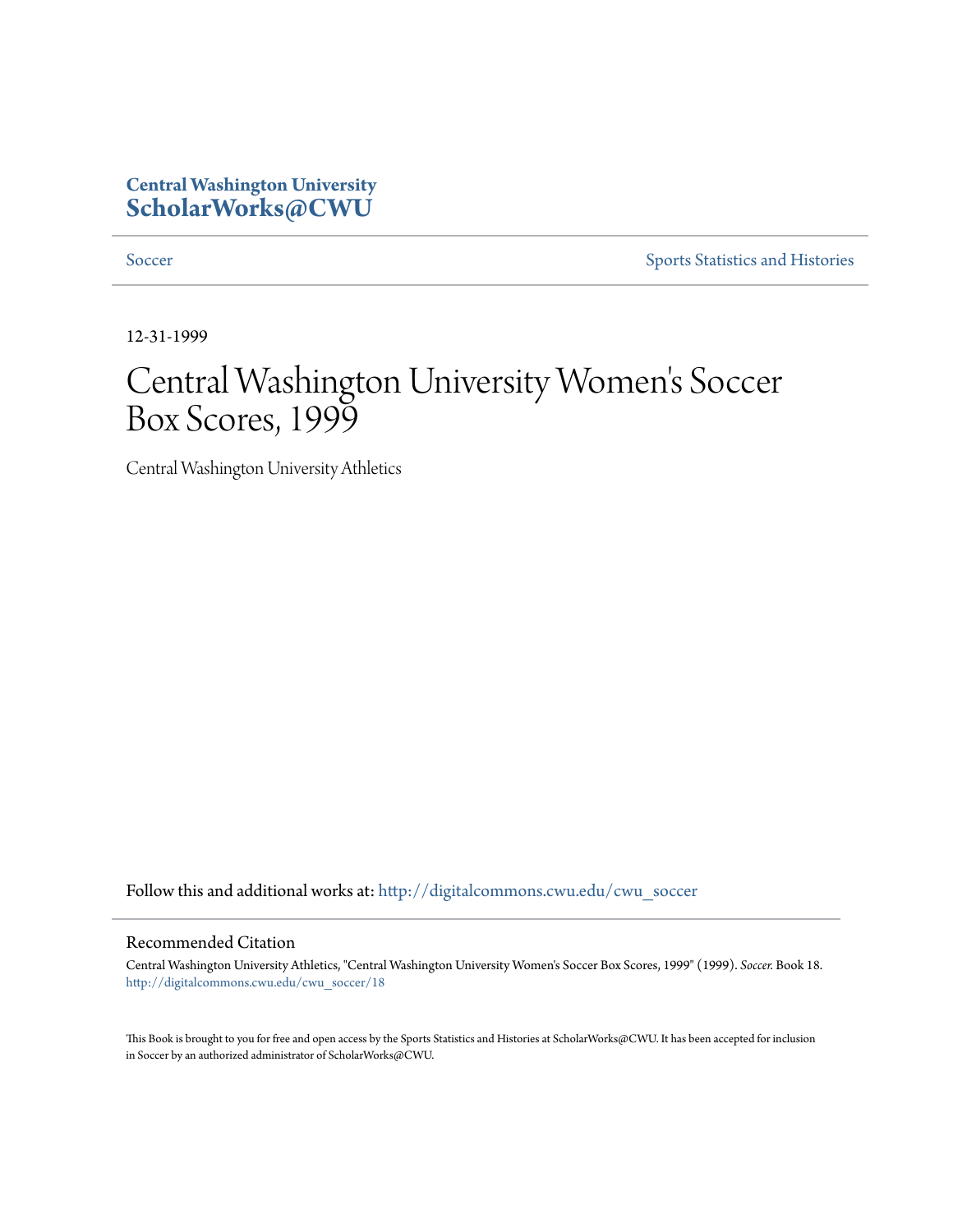## **Central Washington University [ScholarWorks@CWU](http://digitalcommons.cwu.edu?utm_source=digitalcommons.cwu.edu%2Fcwu_soccer%2F18&utm_medium=PDF&utm_campaign=PDFCoverPages)**

[Soccer](http://digitalcommons.cwu.edu/cwu_soccer?utm_source=digitalcommons.cwu.edu%2Fcwu_soccer%2F18&utm_medium=PDF&utm_campaign=PDFCoverPages) [Sports Statistics and Histories](http://digitalcommons.cwu.edu/cwu_sports_statistics?utm_source=digitalcommons.cwu.edu%2Fcwu_soccer%2F18&utm_medium=PDF&utm_campaign=PDFCoverPages)

12-31-1999

# Central Washington University Women 's Soccer Box Scores, 1999

Central Washington University Athletics

Follow this and additional works at: [http://digitalcommons.cwu.edu/cwu\\_soccer](http://digitalcommons.cwu.edu/cwu_soccer?utm_source=digitalcommons.cwu.edu%2Fcwu_soccer%2F18&utm_medium=PDF&utm_campaign=PDFCoverPages)

#### Recommended Citation

Central Washington University Athletics, "Central Washington University Women's Soccer Box Scores, 1999" (1999). *Soccer.* Book 18. [http://digitalcommons.cwu.edu/cwu\\_soccer/18](http://digitalcommons.cwu.edu/cwu_soccer/18?utm_source=digitalcommons.cwu.edu%2Fcwu_soccer%2F18&utm_medium=PDF&utm_campaign=PDFCoverPages)

This Book is brought to you for free and open access by the Sports Statistics and Histories at ScholarWorks@CWU. It has been accepted for inclusion in Soccer by an authorized administrator of ScholarWorks@CWU.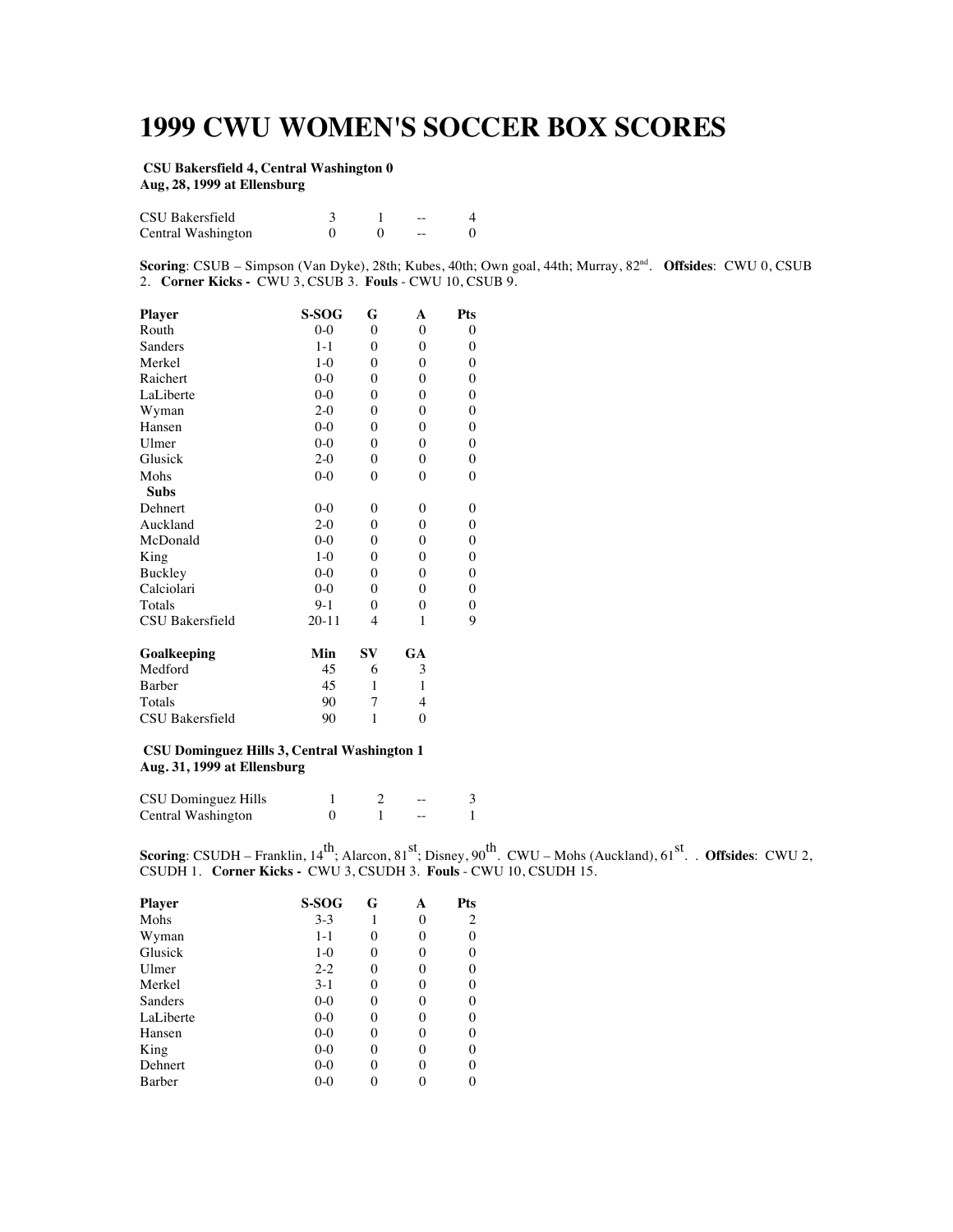# **1999 CWU WOMEN'S SOCCER BOX SCORES**

#### **CSU Bakersfield 4, Central Washington 0 Aug, 28, 1999 at Ellensburg**

| CSU Bakersfield    |  | $- -$ |  |
|--------------------|--|-------|--|
| Central Washington |  | --    |  |

**Scoring**: CSUB – Simpson (Van Dyke), 28th; Kubes, 40th; Own goal, 44th; Murray, 82nd. **Offsides**: CWU 0, CSUB 2. **Corner Kicks -** CWU 3, CSUB 3. **Fouls** - CWU 10, CSUB 9.

| <b>Player</b>   | S-SOG     | G        | A              | Pts              |
|-----------------|-----------|----------|----------------|------------------|
| Routh           | $0 - 0$   | $\theta$ | $\theta$       | $\boldsymbol{0}$ |
| Sanders         | $1 - 1$   | $\theta$ | $\theta$       | 0                |
| Merkel          | $1-0$     | 0        | $\theta$       | 0                |
| Raichert        | $0-0$     | $\theta$ | $\theta$       | 0                |
| LaLiberte       | $0 - 0$   | $\theta$ | $\theta$       | 0                |
| Wyman           | $2-0$     | $\theta$ | $\theta$       | $\boldsymbol{0}$ |
| Hansen          | $0-0$     | $\theta$ | $\theta$       | $\overline{0}$   |
| Ulmer           | $0-0$     | $\theta$ | $\theta$       | 0                |
| Glusick         | $2-0$     | $\theta$ | $\theta$       | 0                |
| Mohs            | $0-0$     | $\theta$ | $\theta$       | $\boldsymbol{0}$ |
| <b>Subs</b>     |           |          |                |                  |
| Dehnert         | $0-0$     | $\theta$ | $\theta$       | 0                |
| Auckland        | $2-0$     | $\theta$ | $\theta$       | $\boldsymbol{0}$ |
| McDonald        | $0-0$     | $\theta$ | $\theta$       | $\boldsymbol{0}$ |
| King            | $1-0$     | $\theta$ | $\theta$       | $\boldsymbol{0}$ |
| Buckley         | $0-0$     | $\theta$ | $\theta$       | $\boldsymbol{0}$ |
| Calciolari      | $0-0$     | $\theta$ | $\theta$       | 0                |
| Totals          | $9-1$     | $\theta$ | $\theta$       | $\boldsymbol{0}$ |
| CSU Bakersfield | $20 - 11$ | 4        | 1              | 9                |
| Goalkeeping     | Min       | SV       | GA             |                  |
| Medford         | 45        | 6        | 3              |                  |
| Barber          | 45        | 1        | 1              |                  |
| Totals          | 90        | 7        | $\overline{4}$ |                  |
| CSU Bakersfield | 90        | 1        | $\theta$       |                  |
|                 |           |          |                |                  |

#### **CSU Dominguez Hills 3, Central Washington 1 Aug. 31, 1999 at Ellensburg**

| CSU Dominguez Hills |  | -- |  |
|---------------------|--|----|--|
| Central Washington  |  |    |  |

**Scoring**: CSUDH – Franklin, 14<sup>th</sup>; Alarcon, 81<sup>st</sup>; Disney, 90<sup>th</sup>. CWU – Mohs (Auckland), 61<sup>st</sup>. . **Offsides**: CWU 2, CSUDH 1. **Corner Kicks -** CWU 3, CSUDH 3. **Fouls** - CWU 10, CSUDH 15.

| <b>Player</b> | S-SOG   | G | А        | Pts            |
|---------------|---------|---|----------|----------------|
| Mohs          | $3 - 3$ | 1 | $\theta$ | $\overline{c}$ |
| Wyman         | 1-1     | 0 | $\theta$ | 0              |
| Glusick       | $1-0$   | 0 | 0        | 0              |
| Ulmer         | $2 - 2$ | 0 | 0        | 0              |
| Merkel        | $3-1$   | 0 | $\Omega$ | 0              |
| Sanders       | $0-0$   | 0 | $\theta$ | 0              |
| LaLiberte     | $0-0$   | 0 | $\theta$ | 0              |
| Hansen        | $0-0$   | 0 | $\theta$ | 0              |
| King          | $0-0$   | 0 | 0        | 0              |
| Dehnert       | $0-0$   | 0 | 0        | 0              |
| Barber        | $0 - 0$ |   |          | 0              |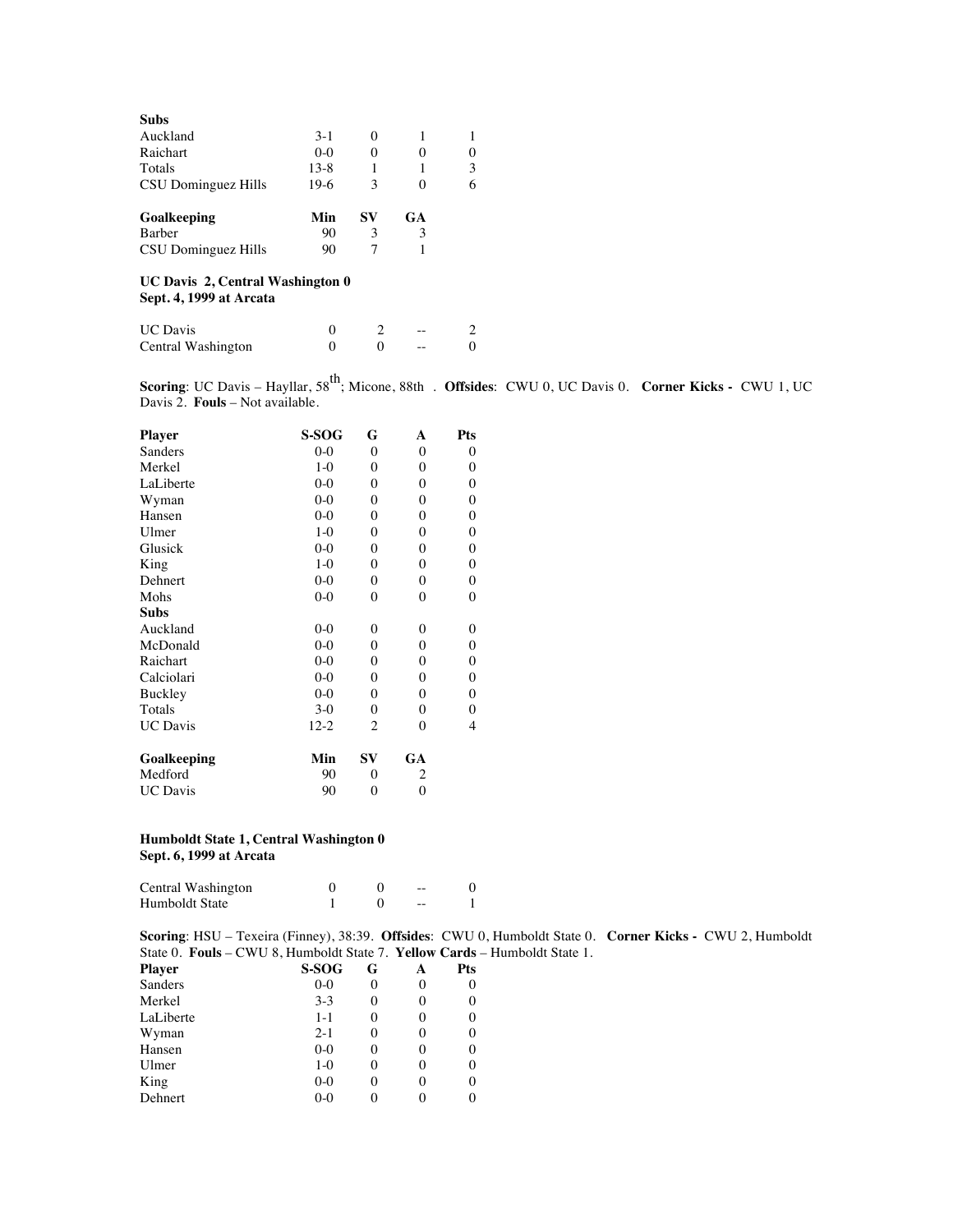| <b>Subs</b>         |        |          |          |          |
|---------------------|--------|----------|----------|----------|
| Auckland            | $3-1$  | $\theta$ |          | 1        |
| Raichart            | $0-0$  | 0        |          | $\theta$ |
| Totals              | $13-8$ |          |          | 3        |
| CSU Dominguez Hills | $19-6$ | 3        | $\theta$ | 6        |
| Goalkeeping         | Min    | SV       | GA       |          |
| <b>Barber</b>       | 90     | 3        | 3        |          |
| CSU Dominguez Hills | 90     |          |          |          |

#### **UC Davis 2, Central Washington 0 Sept. 4, 1999 at Arcata**

| <b>UC</b> Davis    |  | $- -$ |  |
|--------------------|--|-------|--|
| Central Washington |  | $- -$ |  |

**Scoring**: UC Davis – Hayllar, 58<sup>th</sup>; Micone, 88th . **Offsides**: CWU 0, UC Davis 0. **Corner Kicks -** CWU 1, UC Davis 2. **Fouls** – Not available.

| S-SOG    | G              | A                | Pts              |
|----------|----------------|------------------|------------------|
| $0 - 0$  | 0              | $\boldsymbol{0}$ | 0                |
| $1-0$    | 0              | $\theta$         | 0                |
| $0-0$    | $\theta$       | $\theta$         | $\boldsymbol{0}$ |
| $0 - 0$  | 0              | $\boldsymbol{0}$ | 0                |
| $0-0$    | 0              | $\boldsymbol{0}$ | 0                |
| $1-0$    | 0              | $\theta$         | $\boldsymbol{0}$ |
| $0-0$    | $\theta$       | $\theta$         | $\boldsymbol{0}$ |
| $1-0$    | 0              | $\theta$         | 0                |
| $0 - 0$  | 0              | $\theta$         | $\boldsymbol{0}$ |
| $0 - 0$  | 0              | $\boldsymbol{0}$ | $\boldsymbol{0}$ |
|          |                |                  |                  |
| $0 - 0$  | 0              | $\theta$         | 0                |
| $0-0$    | 0              | $\boldsymbol{0}$ | 0                |
| $0-0$    | 0              | $\theta$         | $\boldsymbol{0}$ |
| $0 - 0$  | $\theta$       | $\theta$         | $\boldsymbol{0}$ |
| $0 - 0$  | 0              | $\theta$         | $\boldsymbol{0}$ |
| $3-0$    | 0              | $\theta$         | 0                |
| $12 - 2$ | 2              | $\theta$         | 4                |
| Min      | $S_{\rm V}$    | GA               |                  |
| 90       | 0              | 2                |                  |
| 90       | $\overline{0}$ | $\mathbf{0}$     |                  |
|          |                |                  |                  |

#### **Humboldt State 1, Central Washington 0 Sept. 6, 1999 at Arcata**

| Central Washington |  | $- -$ |  |
|--------------------|--|-------|--|
| Humboldt State     |  | $- -$ |  |

**Scoring**: HSU – Texeira (Finney), 38:39. **Offsides**: CWU 0, Humboldt State 0. **Corner Kicks -** CWU 2, Humboldt State 0. **Fouls** – CWU 8, Humboldt State 7. **Yellow Cards** – Humboldt State 1.

| S-SOG   | G        |   | Pts |
|---------|----------|---|-----|
| $0-0$   | 0        | 0 | 0   |
| $3 - 3$ | 0        | 0 | 0   |
| $1 - 1$ | $\theta$ | 0 | 0   |
| $2 - 1$ | $\theta$ | 0 | 0   |
| $0-0$   | $\theta$ | 0 | 0   |
| $1-0$   | $\theta$ | 0 | 0   |
| $0-0$   |          | 0 | 0   |
| $0-0$   |          |   |     |
|         |          |   |     |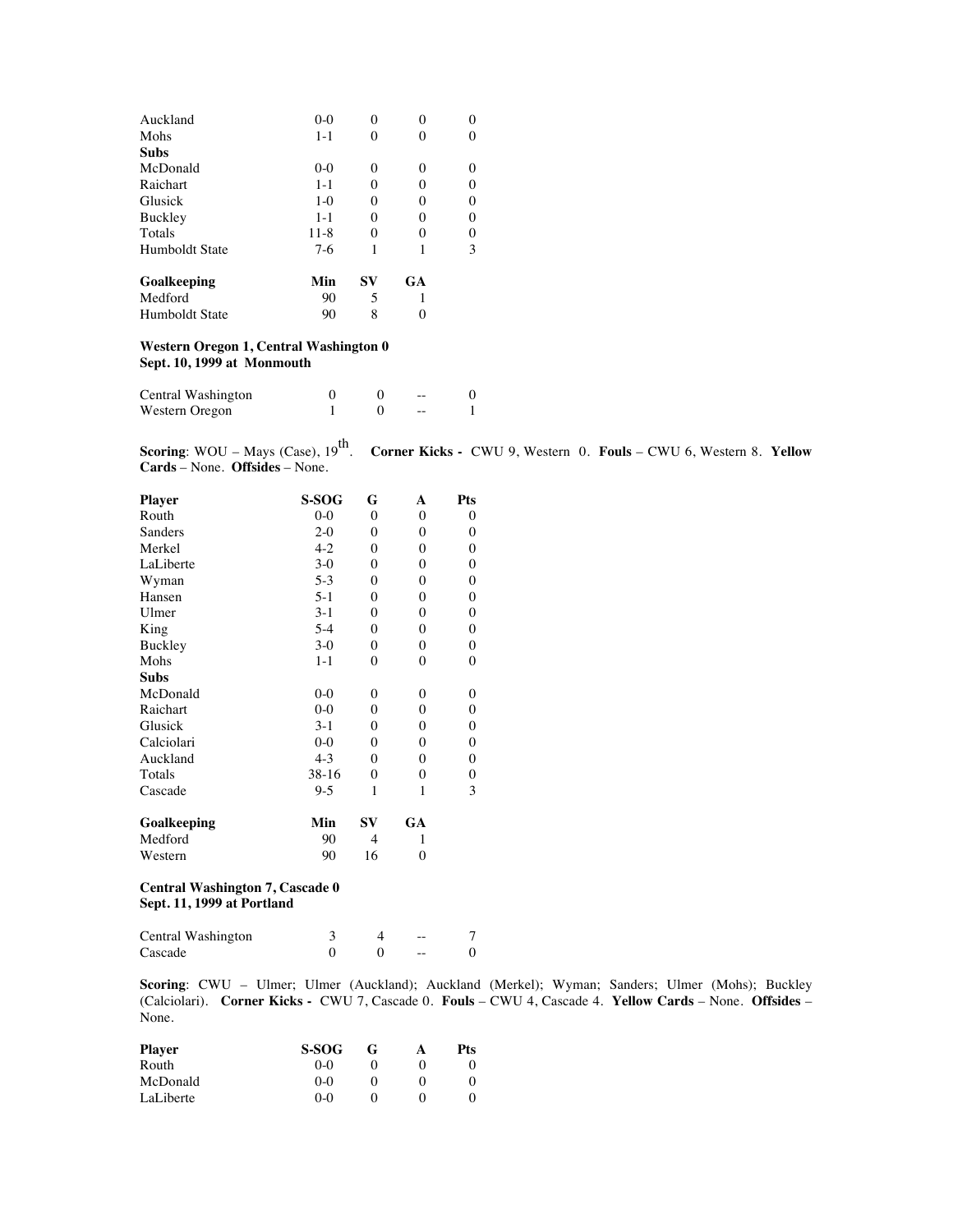| Humboldt State | 90      | 8  |    |   |
|----------------|---------|----|----|---|
| Medford        | 90      | 5  |    |   |
| Goalkeeping    | Min     | SV | GA |   |
| Humboldt State | $7-6$   | 1  |    | 3 |
| Totals         | $11-8$  | 0  |    | 0 |
| <b>Buckley</b> | $1 - 1$ | 0  |    | 0 |
| Glusick        | $1-0$   | 0  |    | 0 |
| Raichart       | $1 - 1$ | 0  |    | 0 |
| McDonald       | $0-0$   | 0  | 0  | 0 |
| <b>Subs</b>    |         |    |    |   |
| Mohs           | $1 - 1$ |    |    | 0 |
| Auckland       | $0-0$   |    |    | 0 |

#### **Western Oregon 1, Central Washington 0 Sept. 10, 1999 at Monmouth**

| Central Washington |  | $- -$ |  |
|--------------------|--|-------|--|
| Western Oregon     |  | $- -$ |  |

**Scoring:** WOU – Mays (Case),  $19^{\text{th}}$ .<br>**Cards** – None. **Offsides** – None.

**Corner Kicks - CWU 9, Western 0. Fouls – CWU 6, Western 8. Yellow** 

| <b>Player</b> | S-SOG   | G            | A                | Pts              |
|---------------|---------|--------------|------------------|------------------|
| Routh         | $0-0$   | $\mathbf{0}$ | $\boldsymbol{0}$ | 0                |
| Sanders       | $2 - 0$ | $\mathbf{0}$ | $\Omega$         | 0                |
| Merkel        | $4 - 2$ | $\mathbf{0}$ | $\boldsymbol{0}$ | 0                |
| LaLiberte     | $3-0$   | $\mathbf{0}$ | $\boldsymbol{0}$ | 0                |
| Wyman         | $5-3$   | $\mathbf{0}$ | $\boldsymbol{0}$ | $\boldsymbol{0}$ |
| Hansen        | $5-1$   | $\mathbf{0}$ | $\theta$         | $\boldsymbol{0}$ |
| Ulmer         | $3-1$   | $\theta$     | $\mathbf{0}$     | $\boldsymbol{0}$ |
| King          | $5 - 4$ | $\mathbf{0}$ | $\boldsymbol{0}$ | $\boldsymbol{0}$ |
| Buckley       | $3-0$   | $\mathbf{0}$ | $\boldsymbol{0}$ | 0                |
| Mohs          | $1 - 1$ | $\mathbf{0}$ | $\theta$         | 0                |
| <b>Subs</b>   |         |              |                  |                  |
| McDonald      | $0-0$   | $\mathbf{0}$ | $\theta$         | 0                |
| Raichart      | $0 - 0$ | $\mathbf{0}$ | $\boldsymbol{0}$ | 0                |
| Glusick       | $3-1$   | $\mathbf{0}$ | $\boldsymbol{0}$ | 0                |
| Calciolari    | $0-0$   | $\mathbf{0}$ | $\theta$         | 0                |
| Auckland      | $4 - 3$ | $\mathbf{0}$ | $\theta$         | 0                |
| Totals        | $38-16$ | $\mathbf{0}$ | $\boldsymbol{0}$ | $\boldsymbol{0}$ |
| Cascade       | $9 - 5$ | 1            | 1                | 3                |
| Goalkeeping   | Min     | SV           | GA               |                  |
| Medford       | 90      | 4            | 1                |                  |
| Western       | 90      | 16           | 0                |                  |

#### **Central Washington 7, Cascade 0 Sept. 11, 1999 at Portland**

| Central Washington |  | $- -$ |  |
|--------------------|--|-------|--|
| Cascade            |  | $- -$ |  |

**Scoring**: CWU – Ulmer; Ulmer (Auckland); Auckland (Merkel); Wyman; Sanders; Ulmer (Mohs); Buckley (Calciolari). **Corner Kicks -** CWU 7, Cascade 0. **Fouls** – CWU 4, Cascade 4. **Yellow Cards** – None. **Offsides** – None.

| Player    | <b>S-SOG</b> | $\mathbf{G}$ | А | Pts |
|-----------|--------------|--------------|---|-----|
| Routh     | 0-0          |              |   |     |
| McDonald  | $0-0$        |              |   | 0   |
| LaLiberte | $0-0$        |              |   |     |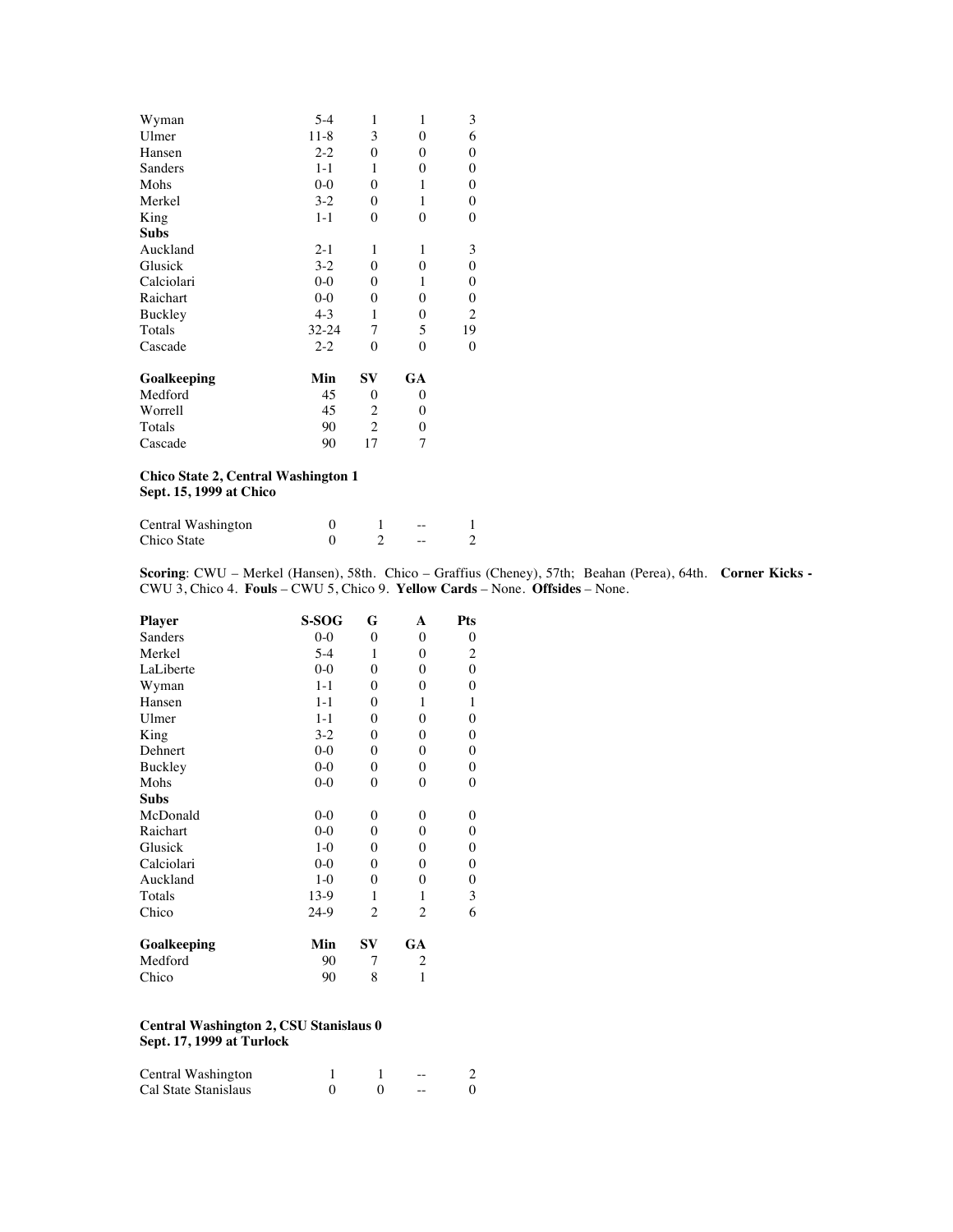| Wyman       | $5 - 4$ | 1            | 1                | 3                |
|-------------|---------|--------------|------------------|------------------|
| Ulmer       | $11-8$  | 3            | $\theta$         | 6                |
| Hansen      | $2 - 2$ | 0            | $\boldsymbol{0}$ | 0                |
| Sanders     | $1 - 1$ | 1            | $\theta$         | $\boldsymbol{0}$ |
| Mohs        | $0-0$   | $\mathbf{0}$ | 1                | $\boldsymbol{0}$ |
| Merkel      | $3-2$   | $\mathbf{0}$ | 1                | 0                |
| King        | $1 - 1$ | $\mathbf{0}$ | $\theta$         | 0                |
| <b>Subs</b> |         |              |                  |                  |
| Auckland    | $2 - 1$ | 1            | 1                | 3                |
| Glusick     | $3-2$   | $\theta$     | $\theta$         | $\boldsymbol{0}$ |
| Calciolari  | $0 - 0$ | $\theta$     | 1                | 0                |
| Raichart    | $0 - 0$ | $\mathbf{0}$ | $\theta$         | $\boldsymbol{0}$ |
| Buckley     | $4 - 3$ | 1            | $\theta$         | $\overline{c}$   |
| Totals      | 32-24   | 7            | 5                | 19               |
| Cascade     | $2 - 2$ | $\theta$     | $\theta$         | 0                |
| Goalkeeping | Min     | SV           | GA               |                  |
| Medford     | 45      | 0            | $\overline{0}$   |                  |
| Worrell     | 45      | 2            | $\theta$         |                  |
| Totals      | 90      | 2            | $\theta$         |                  |
| Cascade     | 90      | 17           | 7                |                  |
|             |         |              |                  |                  |

**Chico State 2, Central Washington 1 Sept. 15, 1999 at Chico**

| Central Washington |  | $- -$ |  |
|--------------------|--|-------|--|
| Chico State        |  | --    |  |

**Scoring**: CWU – Merkel (Hansen), 58th. Chico – Graffius (Cheney), 57th; Beahan (Perea), 64th. **Corner Kicks -**  CWU 3, Chico 4. **Fouls** – CWU 5, Chico 9. **Yellow Cards** – None. **Offsides** – None.

| Player      | S-SOG   | G        | A                | Pts              |
|-------------|---------|----------|------------------|------------------|
| Sanders     | $0 - 0$ | $\theta$ | $\theta$         | 0                |
| Merkel      | $5 - 4$ | 1        | $\boldsymbol{0}$ | $\overline{c}$   |
| LaLiberte   | $0 - 0$ | 0        | $\theta$         | $\boldsymbol{0}$ |
| Wyman       | $1 - 1$ | 0        | 0                | 0                |
| Hansen      | $1 - 1$ | $\theta$ | 1                | $\mathbf{1}$     |
| Ulmer       | $1 - 1$ | 0        | 0                | $\boldsymbol{0}$ |
| King        | $3-2$   | 0        | 0                | $\boldsymbol{0}$ |
| Dehnert     | $0 - 0$ | 0        | $\theta$         | $\boldsymbol{0}$ |
| Buckley     | $0 - 0$ | 0        | $\mathbf{0}$     | $\boldsymbol{0}$ |
| Mohs        | $0 - 0$ | 0        | $\mathbf{0}$     | $\boldsymbol{0}$ |
| Subs        |         |          |                  |                  |
| McDonald    | $0 - 0$ | 0        | $\theta$         | 0                |
| Raichart    | $0 - 0$ | 0        | $\mathbf{0}$     | $\boldsymbol{0}$ |
| Glusick     | $1-0$   | 0        | 0                | $\boldsymbol{0}$ |
| Calciolari  | $0 - 0$ | 0        | 0                | $\boldsymbol{0}$ |
| Auckland    | $1-0$   | 0        | 0                | $\boldsymbol{0}$ |
| Totals      | $13-9$  | 1        | 1                | 3                |
| Chico       | $24-9$  | 2        | 2                | 6                |
| Goalkeeping | Min     | SV       | GA               |                  |
| Medford     | 90      | 7        | 2                |                  |
| Chico       | 90      | 8        | 1                |                  |

#### **Central Washington 2, CSU Stanislaus 0 Sept. 17, 1999 at Turlock**

| Central Washington   |  | $- -$ |  |
|----------------------|--|-------|--|
| Cal State Stanislaus |  | --    |  |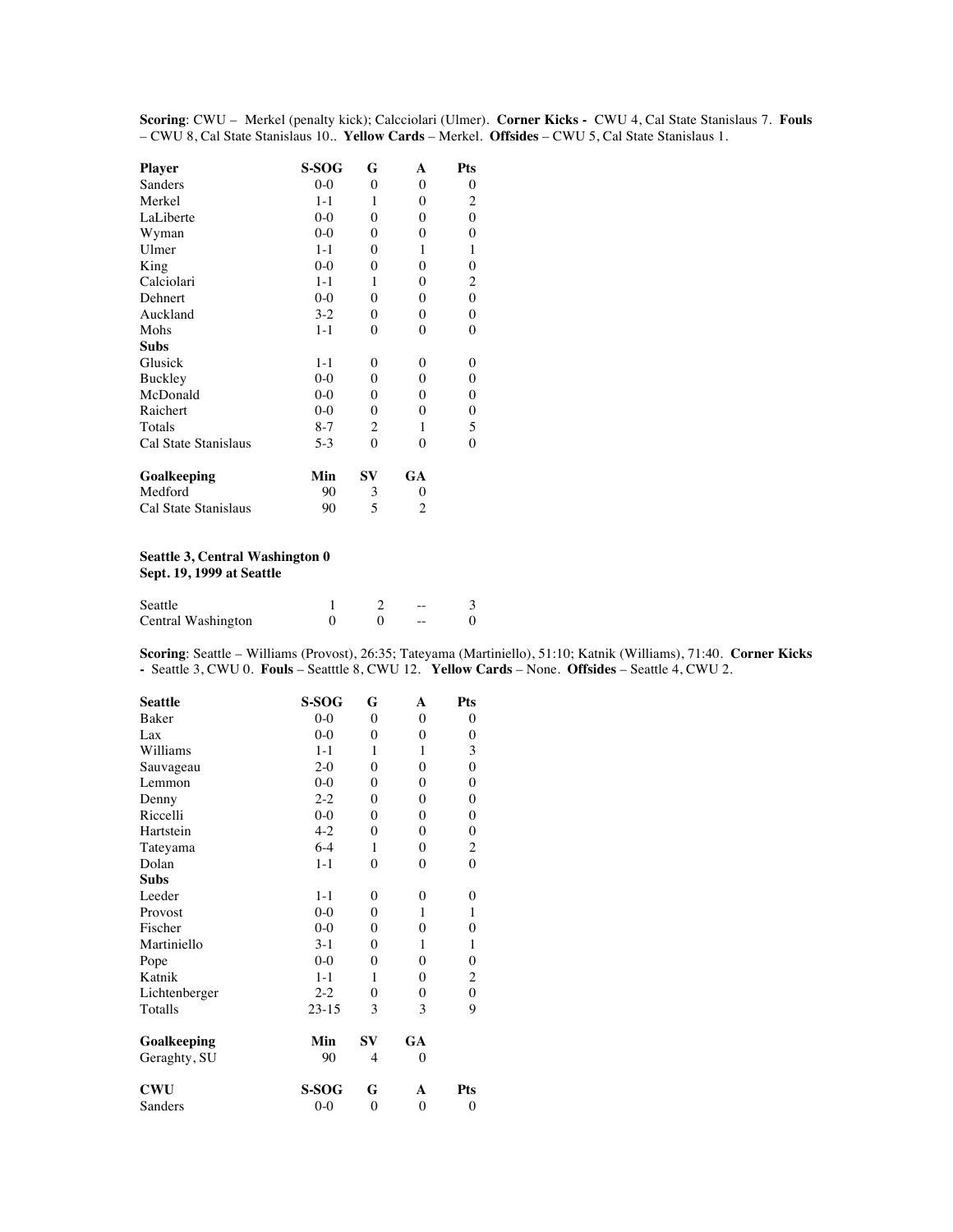**Scoring**: CWU – Merkel (penalty kick); Calcciolari (Ulmer). **Corner Kicks -** CWU 4, Cal State Stanislaus 7. **Fouls** – CWU 8, Cal State Stanislaus 10.. **Yellow Cards** – Merkel. **Offsides** – CWU 5, Cal State Stanislaus 1.

| <b>Player</b>        | S-SOG   | G              | A                | Pts                     |
|----------------------|---------|----------------|------------------|-------------------------|
| Sanders              | $0 - 0$ | $\theta$       | $\theta$         | 0                       |
| Merkel               | $1 - 1$ | 1              | $\theta$         | $\overline{\mathbf{c}}$ |
| LaLiberte            | $0-0$   | $\theta$       | $\theta$         | $\boldsymbol{0}$        |
| Wyman                | $0-0$   | $\mathbf{0}$   | $\theta$         | 0                       |
| Ulmer                | $1 - 1$ | $\theta$       | 1                | 1                       |
| King                 | $0 - 0$ | $\mathbf{0}$   | $\theta$         | $\boldsymbol{0}$        |
| Calciolari           | $1 - 1$ | 1              | 0                | $\overline{c}$          |
| Dehnert              | $0 - 0$ | $\theta$       | 0                | 0                       |
| Auckland             | $3-2$   | $\mathbf{0}$   | $\mathbf{0}$     | $\boldsymbol{0}$        |
| Mohs                 | $1 - 1$ | $\mathbf{0}$   | $\theta$         | 0                       |
| <b>Subs</b>          |         |                |                  |                         |
| Glusick              | $1 - 1$ | $\theta$       | 0                | 0                       |
| Buckley              | $0-0$   | $\mathbf{0}$   | $\boldsymbol{0}$ | 0                       |
| McDonald             | $0 - 0$ | $\theta$       | 0                | 0                       |
| Raichert             | $0-0$   | $\theta$       | $\theta$         | 0                       |
| Totals               | $8 - 7$ | $\overline{2}$ | 1                | 5                       |
| Cal State Stanislaus | $5-3$   | $\theta$       | 0                | 0                       |
| Goalkeeping          | Min     | SV             | GA               |                         |
| Medford              | 90      | 3              | $\theta$         |                         |
| Cal State Stanislaus | 90      | 5              | 2                |                         |

### **Seattle 3, Central Washington 0**

**Sept. 19, 1999 at Seattle**

| Seattle            |  | $- -$ |  |
|--------------------|--|-------|--|
| Central Washington |  | $- -$ |  |

**Scoring**: Seattle – Williams (Provost), 26:35; Tateyama (Martiniello), 51:10; Katnik (Williams), 71:40. **Corner Kicks -** Seattle 3, CWU 0. **Fouls** – Seatttle 8, CWU 12. **Yellow Cards** – None. **Offsides** – Seattle 4, CWU 2.

| <b>Seattle</b> | S-SOG   | G                | A                | Pts            |
|----------------|---------|------------------|------------------|----------------|
| <b>Baker</b>   | $0-0$   | $\theta$         | $\theta$         | 0              |
| Lax            | $0-0$   | $\theta$         | $\theta$         | $\theta$       |
| Williams       | $1 - 1$ | 1                | 1                | 3              |
| Sauvageau      | $2-0$   | $\theta$         | $\theta$         | $\theta$       |
| Lemmon         | $0-0$   | $\theta$         | $\theta$         | 0              |
| Denny          | $2 - 2$ | $\theta$         | $\theta$         | 0              |
| Riccelli       | $0-0$   | $\theta$         | $\theta$         | 0              |
| Hartstein      | $4 - 2$ | $\theta$         | $\theta$         | 0              |
| Tateyama       | $6-4$   | 1                | $\theta$         | 2              |
| Dolan          | $1 - 1$ | $\theta$         | $\theta$         | $\overline{0}$ |
| <b>Subs</b>    |         |                  |                  |                |
| Leeder         | $1 - 1$ | $\theta$         | $\theta$         | 0              |
| Provost        | $0-0$   | $\theta$         | 1                | 1              |
| Fischer        | $0-0$   | $\Omega$         | $\theta$         | $\overline{0}$ |
| Martiniello    | $3-1$   | $\theta$         | 1                | 1              |
| Pope           | $0-0$   | $\theta$         | $\theta$         | 0              |
| Katnik         | $1 - 1$ | 1                | $\theta$         | $\overline{c}$ |
| Lichtenberger  | $2 - 2$ | $\theta$         | $\theta$         | 0              |
| Totalls        | $23-15$ | 3                | 3                | 9              |
| Goalkeeping    | Min     | $S_{\rm V}$      | GA               |                |
| Geraghty, SU   | 90      | 4                | $\theta$         |                |
| <b>CWU</b>     | S-SOG   | G                | A                | <b>Pts</b>     |
| Sanders        | $0 - 0$ | $\boldsymbol{0}$ | $\boldsymbol{0}$ | 0              |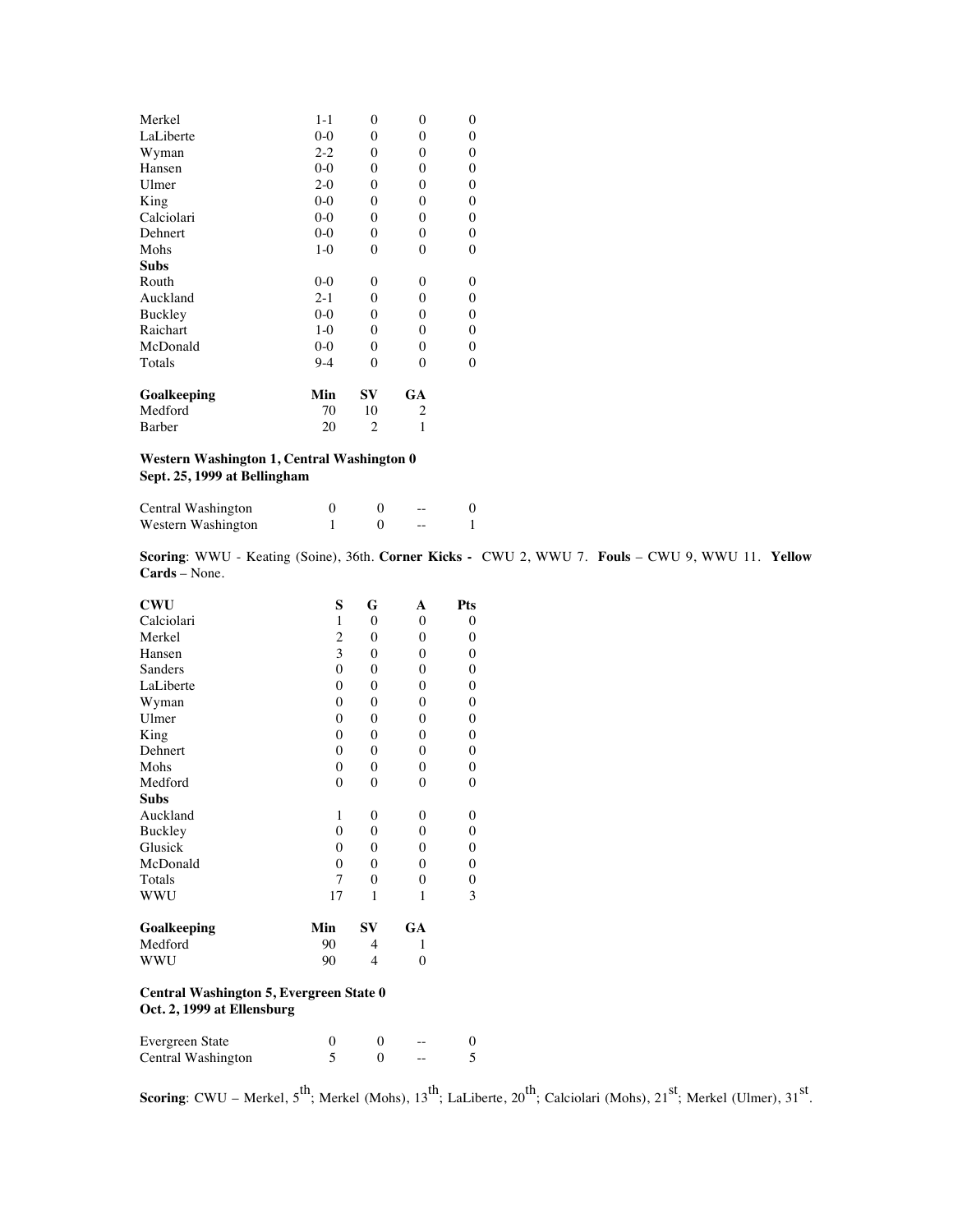| Merkel      | $1 - 1$ | $\overline{0}$ | $\theta$       | 0                |
|-------------|---------|----------------|----------------|------------------|
| LaLiberte   | $0-0$   | 0              | $\theta$       | $\boldsymbol{0}$ |
| Wyman       | $2 - 2$ | 0              | $\theta$       | 0                |
| Hansen      | $0 - 0$ | 0              | $\overline{0}$ | $\boldsymbol{0}$ |
| Ulmer       | $2 - 0$ | 0              | $\theta$       | 0                |
| King        | $0 - 0$ | 0              | $\theta$       | 0                |
| Calciolari  | $0-0$   | 0              | $\theta$       | 0                |
| Dehnert     | $0-0$   | 0              | $\overline{0}$ | $\boldsymbol{0}$ |
| Mohs        | $1-0$   | 0              | $\overline{0}$ | $\boldsymbol{0}$ |
| Subs        |         |                |                |                  |
| Routh       | $0 - 0$ | 0              | $\theta$       | 0                |
| Auckland    | $2 - 1$ | 0              | $\overline{0}$ | 0                |
| Buckley     | $0-0$   | 0              | $\theta$       | 0                |
| Raichart    | $1-0$   | 0              | $\theta$       | $\boldsymbol{0}$ |
| McDonald    | $0-0$   | 0              | $\theta$       | 0                |
| Totals      | $9-4$   | $\theta$       | $\theta$       | $\overline{0}$   |
| Goalkeeping | Min     | $S_{\rm V}$    | GA             |                  |
| Medford     | 70      | 10             | 2              |                  |
| Barber      | 20      | 2              |                |                  |

#### **Western Washington 1, Central Washington 0 Sept. 25, 1999 at Bellingham**

| Central Washington |  | $- -$ |  |
|--------------------|--|-------|--|
| Western Washington |  | $- -$ |  |

**Scoring**: WWU - Keating (Soine), 36th. **Corner Kicks -** CWU 2, WWU 7. **Fouls** – CWU 9, WWU 11. **Yellow Cards** – None.

| <b>CWU</b>                                                            | S            | G        | A        | Pts              |  |
|-----------------------------------------------------------------------|--------------|----------|----------|------------------|--|
| Calciolari                                                            | $\mathbf{1}$ | $\theta$ | $\theta$ | 0                |  |
| Merkel                                                                | 2            | $\theta$ | $\theta$ | 0                |  |
| Hansen                                                                | 3            | $\theta$ | $\theta$ | $\boldsymbol{0}$ |  |
| Sanders                                                               | $\theta$     | $\theta$ | $\theta$ | 0                |  |
| LaLiberte                                                             | $\theta$     | $\theta$ | $\theta$ | 0                |  |
| Wyman                                                                 | $\theta$     | $\theta$ | $\theta$ | 0                |  |
| Ulmer                                                                 | $\theta$     | $\theta$ | $\theta$ | 0                |  |
| King                                                                  | $\theta$     | $\theta$ | $\theta$ | $\boldsymbol{0}$ |  |
| Dehnert                                                               | $\theta$     | $\theta$ | $\Omega$ | $\boldsymbol{0}$ |  |
| Mohs                                                                  | $\theta$     | $\theta$ | $\theta$ | $\boldsymbol{0}$ |  |
| Medford                                                               | $\theta$     | $\theta$ | $\theta$ | 0                |  |
| <b>Subs</b>                                                           |              |          |          |                  |  |
| Auckland                                                              | 1            | $\theta$ | 0        | 0                |  |
| Buckley                                                               | $\theta$     | $\theta$ | $\theta$ | $\boldsymbol{0}$ |  |
| Glusick                                                               | $\theta$     | $\theta$ | $\theta$ | $\boldsymbol{0}$ |  |
| McDonald                                                              | $\theta$     | $\theta$ | $\theta$ | 0                |  |
| Totals                                                                | 7            | $\theta$ | $\theta$ | 0                |  |
| WWU                                                                   | 17           | 1        | 1        | 3                |  |
| Goalkeeping                                                           | Min          | SV       | GA       |                  |  |
| Medford                                                               | 90           | 4        | 1        |                  |  |
| WWU                                                                   | 90           | 4        | $\Omega$ |                  |  |
| Central Washington 5, Evergreen State 0<br>Oct. 2, 1999 at Ellensburg |              |          |          |                  |  |

| Evergreen State    |  | $- -$ |  |
|--------------------|--|-------|--|
| Central Washington |  | --    |  |

**Scoring**: CWU – Merkel,  $5^{th}$ ; Merkel (Mohs),  $13^{th}$ ; LaLiberte,  $20^{th}$ ; Calciolari (Mohs),  $21^{st}$ ; Merkel (Ulmer),  $31^{st}$ .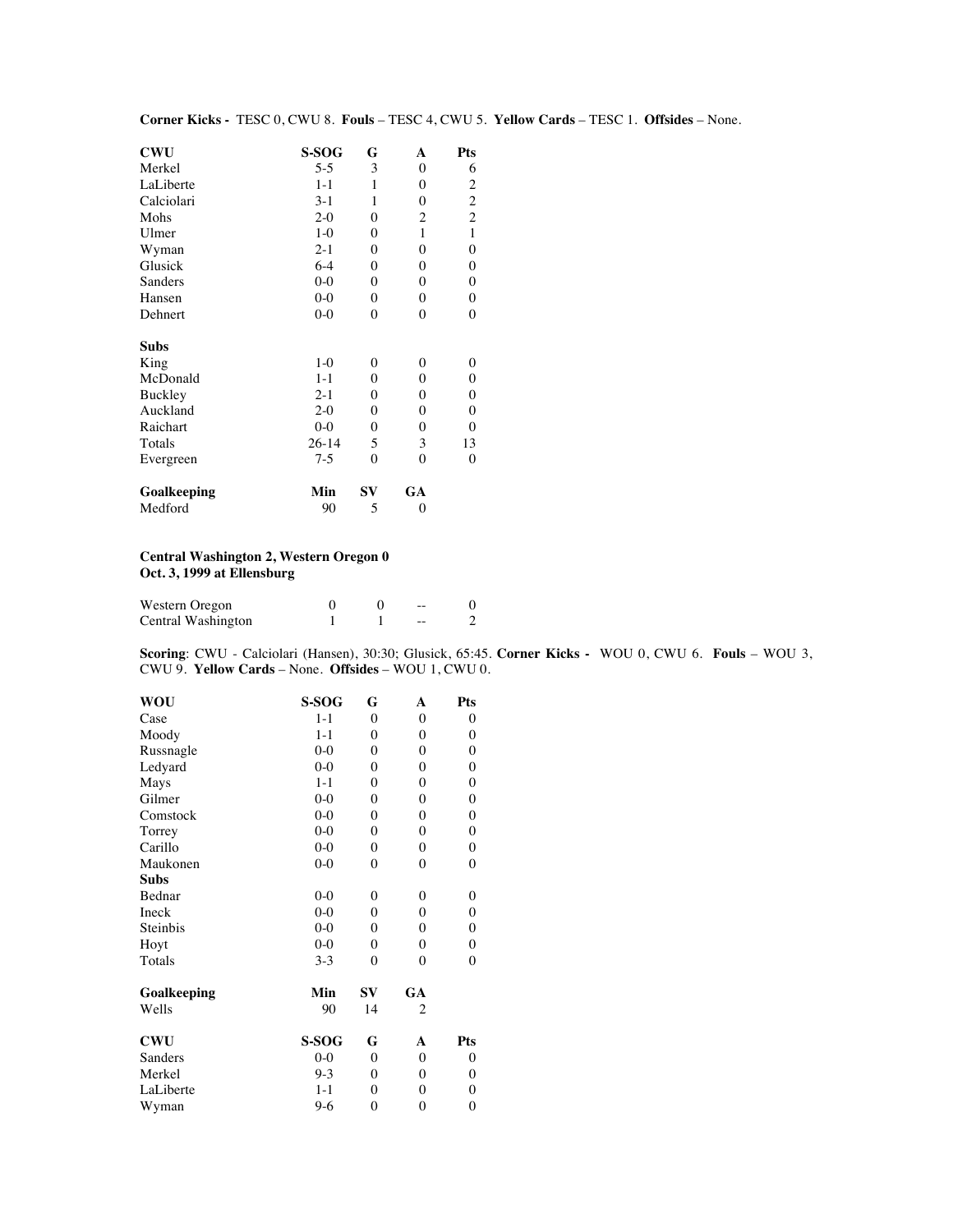| <b>CWU</b>  | S-SOG     | G            | A                | Pts                     |
|-------------|-----------|--------------|------------------|-------------------------|
| Merkel      | $5 - 5$   | 3            | $\theta$         | 6                       |
| LaLiberte   | $1 - 1$   | 1            | $\theta$         | $\overline{c}$          |
| Calciolari  | $3-1$     | 1            | $\theta$         | $\overline{\mathbf{c}}$ |
| Mohs        | $2 - 0$   | $\theta$     | 2                | $\overline{c}$          |
| Ulmer       | $1-0$     | $\theta$     | 1                | $\mathbf{1}$            |
| Wyman       | $2 - 1$   | $\mathbf{0}$ | $\mathbf{0}$     | $\boldsymbol{0}$        |
| Glusick     | $6-4$     | $\mathbf{0}$ | $\theta$         | $\boldsymbol{0}$        |
| Sanders     | $0-0$     | $\mathbf{0}$ | $\theta$         | $\boldsymbol{0}$        |
| Hansen      | $0 - 0$   | $\theta$     | $\theta$         | $\mathbf{0}$            |
| Dehnert     | $0 - 0$   | $\mathbf{0}$ | $\mathbf{0}$     | $\boldsymbol{0}$        |
| <b>Subs</b> |           |              |                  |                         |
| King        | $1-0$     | $\theta$     | 0                | $\mathbf{0}$            |
| McDonald    | $1 - 1$   | $\theta$     | $\theta$         | $\boldsymbol{0}$        |
| Buckley     | $2 - 1$   | $\mathbf{0}$ | $\boldsymbol{0}$ | $\boldsymbol{0}$        |
| Auckland    | $2 - 0$   | $\mathbf{0}$ | $\theta$         | $\boldsymbol{0}$        |
| Raichart    | $0 - 0$   | $\theta$     | $\theta$         | $\mathbf{0}$            |
| Totals      | $26 - 14$ | 5            | 3                | 13                      |
| Evergreen   | $7-5$     | 0            | 0                | $\boldsymbol{0}$        |
| Goalkeeping | Min       | $S_{\rm V}$  | GA               |                         |
| Medford     | 90        | 5            | $\overline{0}$   |                         |

#### **Corner Kicks -** TESC 0, CWU 8. **Fouls** – TESC 4, CWU 5. **Yellow Cards** – TESC 1. **Offsides** – None.

#### **Central Washington 2, Western Oregon 0 Oct. 3, 1999 at Ellensburg**

| Western Oregon     |  | $- -$ |  |
|--------------------|--|-------|--|
| Central Washington |  | $- -$ |  |

**Scoring**: CWU - Calciolari (Hansen), 30:30; Glusick, 65:45. **Corner Kicks -** WOU 0, CWU 6. **Fouls** – WOU 3, CWU 9. **Yellow Cards** – None. **Offsides** – WOU 1, CWU 0.

| WOU         | S-SOG   | G                | A                | Pts              |
|-------------|---------|------------------|------------------|------------------|
| Case        | $1 - 1$ | $\mathbf{0}$     | $\mathbf{0}$     | $\boldsymbol{0}$ |
| Moody       | $1 - 1$ | 0                | $\theta$         | $\boldsymbol{0}$ |
| Russnagle   | $0 - 0$ | $\theta$         | $\theta$         | $\boldsymbol{0}$ |
| Ledyard     | $0 - 0$ | $\overline{0}$   | $\mathbf{0}$     | $\boldsymbol{0}$ |
| Mays        | $1 - 1$ | $\overline{0}$   | $\mathbf{0}$     | $\boldsymbol{0}$ |
| Gilmer      | $0 - 0$ | $\overline{0}$   | $\mathbf{0}$     | $\boldsymbol{0}$ |
| Comstock    | $0-0$   | 0                | $\boldsymbol{0}$ | $\boldsymbol{0}$ |
| Torrey      | $0 - 0$ | $\overline{0}$   | $\mathbf{0}$     | $\boldsymbol{0}$ |
| Carillo     | $0 - 0$ | 0                | $\mathbf{0}$     | $\boldsymbol{0}$ |
| Maukonen    | $0 - 0$ | $\mathbf{0}$     | $\mathbf{0}$     | $\boldsymbol{0}$ |
| Subs        |         |                  |                  |                  |
| Bednar      | $0 - 0$ | $\mathbf{0}$     | $\theta$         | $\boldsymbol{0}$ |
| Ineck       | $0 - 0$ | $\overline{0}$   | $\overline{0}$   | $\boldsymbol{0}$ |
| Steinbis    | $0-0$   | 0                | $\theta$         | $\boldsymbol{0}$ |
| Hoyt        | $0 - 0$ | 0                | $\theta$         | $\boldsymbol{0}$ |
| Totals      | $3 - 3$ | $\theta$         | $\theta$         | $\boldsymbol{0}$ |
| Goalkeeping | Min     | SV               | GA               |                  |
| Wells       | 90      | 14               | 2                |                  |
| <b>CWU</b>  | S-SOG   | G                | A                | Pts              |
| Sanders     | $0 - 0$ | $\mathbf{0}$     | $\theta$         | $\boldsymbol{0}$ |
| Merkel      | $9-3$   | $\mathbf{0}$     | $\mathbf{0}$     | $\boldsymbol{0}$ |
| LaLiberte   | $1 - 1$ | $\theta$         | $\theta$         | $\boldsymbol{0}$ |
| Wyman       | $9-6$   | $\boldsymbol{0}$ | $\boldsymbol{0}$ | $\boldsymbol{0}$ |
|             |         |                  |                  |                  |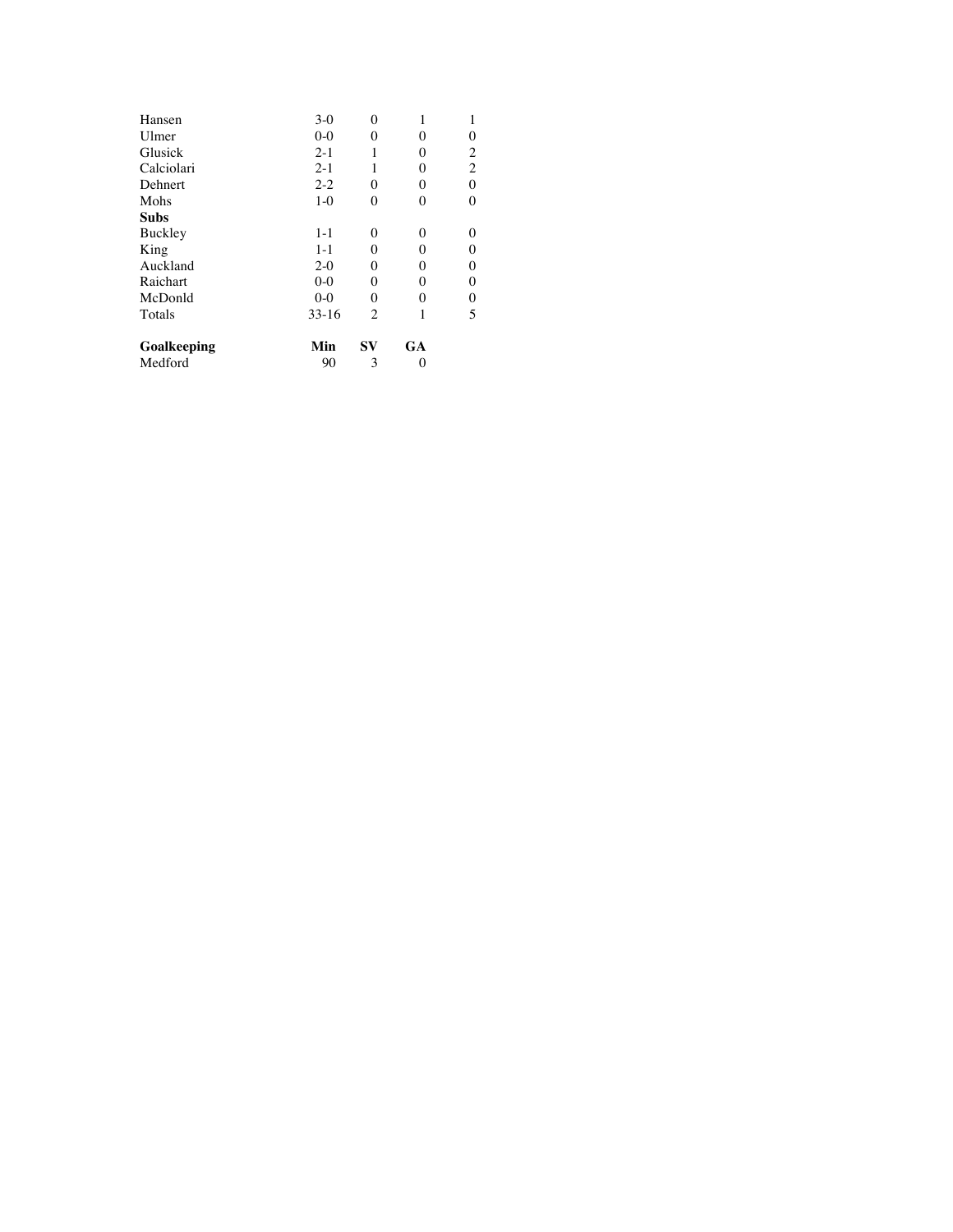| $3-0$   | $\theta$       |          | 1                       |
|---------|----------------|----------|-------------------------|
| $0 - 0$ | 0              | 0        | $\boldsymbol{0}$        |
| $2 - 1$ | 1              | $\theta$ | $\overline{\mathbf{c}}$ |
| $2 - 1$ | 1              | 0        | $\overline{c}$          |
| $2 - 2$ | $\overline{0}$ | $\theta$ | 0                       |
| $1-0$   | 0              | 0        | $\mathbf{0}$            |
|         |                |          |                         |
| $1 - 1$ | 0              | 0        | 0                       |
| $1 - 1$ | 0              | $\theta$ | $\boldsymbol{0}$        |
| $2 - 0$ | 0              | $\theta$ | 0                       |
| $0-0$   | 0              | 0        | 0                       |
| $0-0$   | 0              | 0        | $\boldsymbol{0}$        |
| $33-16$ | $\overline{c}$ |          | 5                       |
| Min     | $S_{\bf V}$    | GA       |                         |
| 90      | 3              |          |                         |
|         |                |          |                         |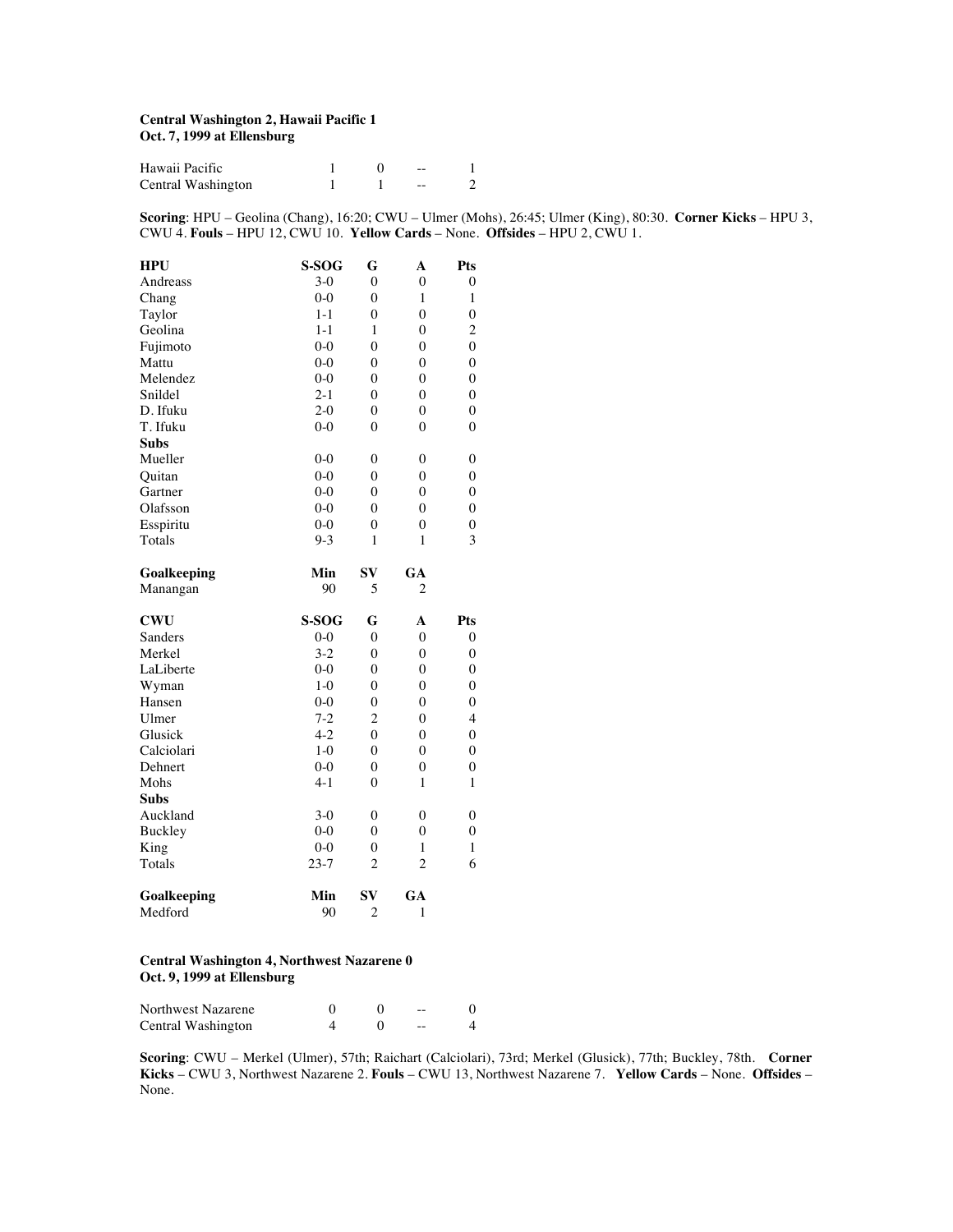#### **Central Washington 2, Hawaii Pacific 1 Oct. 7, 1999 at Ellensburg**

| Hawaii Pacific     |  | $- -$ |  |
|--------------------|--|-------|--|
| Central Washington |  | --    |  |

**Scoring**: HPU – Geolina (Chang), 16:20; CWU – Ulmer (Mohs), 26:45; Ulmer (King), 80:30. **Corner Kicks** – HPU 3, CWU 4. **Fouls** – HPU 12, CWU 10. **Yellow Cards** – None. **Offsides** – HPU 2, CWU 1.

| <b>HPU</b>     | S-SOG    | G              | A              | Pts              |
|----------------|----------|----------------|----------------|------------------|
| Andreass       | $3-0$    | $\theta$       | 0              | $\overline{0}$   |
| Chang          | $0 - 0$  | $\overline{0}$ | $\mathbf{1}$   | $\mathbf{1}$     |
| Taylor         | 1-1      | $\mathbf{0}$   | $\overline{0}$ | $\boldsymbol{0}$ |
| Geolina        | $1 - 1$  | 1              | $\overline{0}$ | $\overline{c}$   |
| Fujimoto       | $0 - 0$  | $\theta$       | $\overline{0}$ | $\overline{0}$   |
| Mattu          | $0-0$    | $\theta$       | $\overline{0}$ | $\overline{0}$   |
| Melendez       | $0 - 0$  | $\mathbf{0}$   | $\mathbf{0}$   | $\boldsymbol{0}$ |
| Snildel        | $2 - 1$  | $\overline{0}$ | $\overline{0}$ | $\overline{0}$   |
| D. Ifuku       | $2-0$    | $\theta$       | $\theta$       | $\overline{0}$   |
| T. Ifuku       | $0-0$    | $\theta$       | $\theta$       | $\overline{0}$   |
| <b>Subs</b>    |          |                |                |                  |
| Mueller        | $0 - 0$  | 0              | 0              | $\boldsymbol{0}$ |
| Ouitan         | $0-0$    | $\overline{0}$ | $\overline{0}$ | $\overline{0}$   |
| Gartner        | $0-0$    | $\theta$       | $\theta$       | $\overline{0}$   |
| Olafsson       | $0-0$    | $\theta$       | $\theta$       | $\overline{0}$   |
| Esspiritu      | $0-0$    | $\mathbf{0}$   | $\overline{0}$ | 0                |
| Totals         | $9 - 3$  | $\mathbf{1}$   | $\mathbf{1}$   | 3                |
| Goalkeeping    | Min      | $S_{\bf V}$    | GA             |                  |
| Manangan       | 90       | 5              | 2              |                  |
| <b>CWU</b>     | S-SOG    | G              | A              | Pts              |
| Sanders        | $0-0$    | $\theta$       | $\theta$       | $\mathbf{0}$     |
| Merkel         | $3 - 2$  | $\overline{0}$ | $\overline{0}$ | $\overline{0}$   |
| LaLiberte      | $0 - 0$  | $\theta$       | $\overline{0}$ | $\overline{0}$   |
| Wyman          | $1-0$    | $\overline{0}$ | $\overline{0}$ | $\overline{0}$   |
| Hansen         | $0 - 0$  | $\theta$       | $\theta$       | $\overline{0}$   |
| Ulmer          | $7 - 2$  | $\overline{2}$ | $\overline{0}$ | $\overline{4}$   |
| Glusick        | $4 - 2$  | $\theta$       | $\mathbf{0}$   | $\overline{0}$   |
| Calciolari     | $1-0$    | $\overline{0}$ | $\overline{0}$ | $\boldsymbol{0}$ |
| Dehnert        | $0-0$    | $\theta$       | $\overline{0}$ | $\overline{0}$   |
| Mohs           | $4 - 1$  | $\theta$       | $\mathbf{1}$   | $\mathbf{1}$     |
| <b>Subs</b>    |          |                |                |                  |
| Auckland       | $3-0$    | $\mathbf{0}$   | 0              | $\boldsymbol{0}$ |
| <b>Buckley</b> | $0-0$    | $\theta$       | $\theta$       | $\overline{0}$   |
| King           | $0-0$    | $\overline{0}$ | $\mathbf{1}$   | $\mathbf{1}$     |
| Totals         | $23 - 7$ | $\overline{2}$ | $\overline{c}$ | 6                |
| Goalkeeping    | Min      | $S_{V}$        | GA             |                  |
| Medford        | 90       | $\overline{2}$ | 1              |                  |

#### **Central Washington 4, Northwest Nazarene 0 Oct. 9, 1999 at Ellensburg**

| <b>Northwest Nazarene</b> |  | $- -$ |  |
|---------------------------|--|-------|--|
| Central Washington        |  | --    |  |

**Scoring**: CWU – Merkel (Ulmer), 57th; Raichart (Calciolari), 73rd; Merkel (Glusick), 77th; Buckley, 78th. **Corner Kicks** – CWU 3, Northwest Nazarene 2. **Fouls** – CWU 13, Northwest Nazarene 7. **Yellow Cards** – None. **Offsides** – None.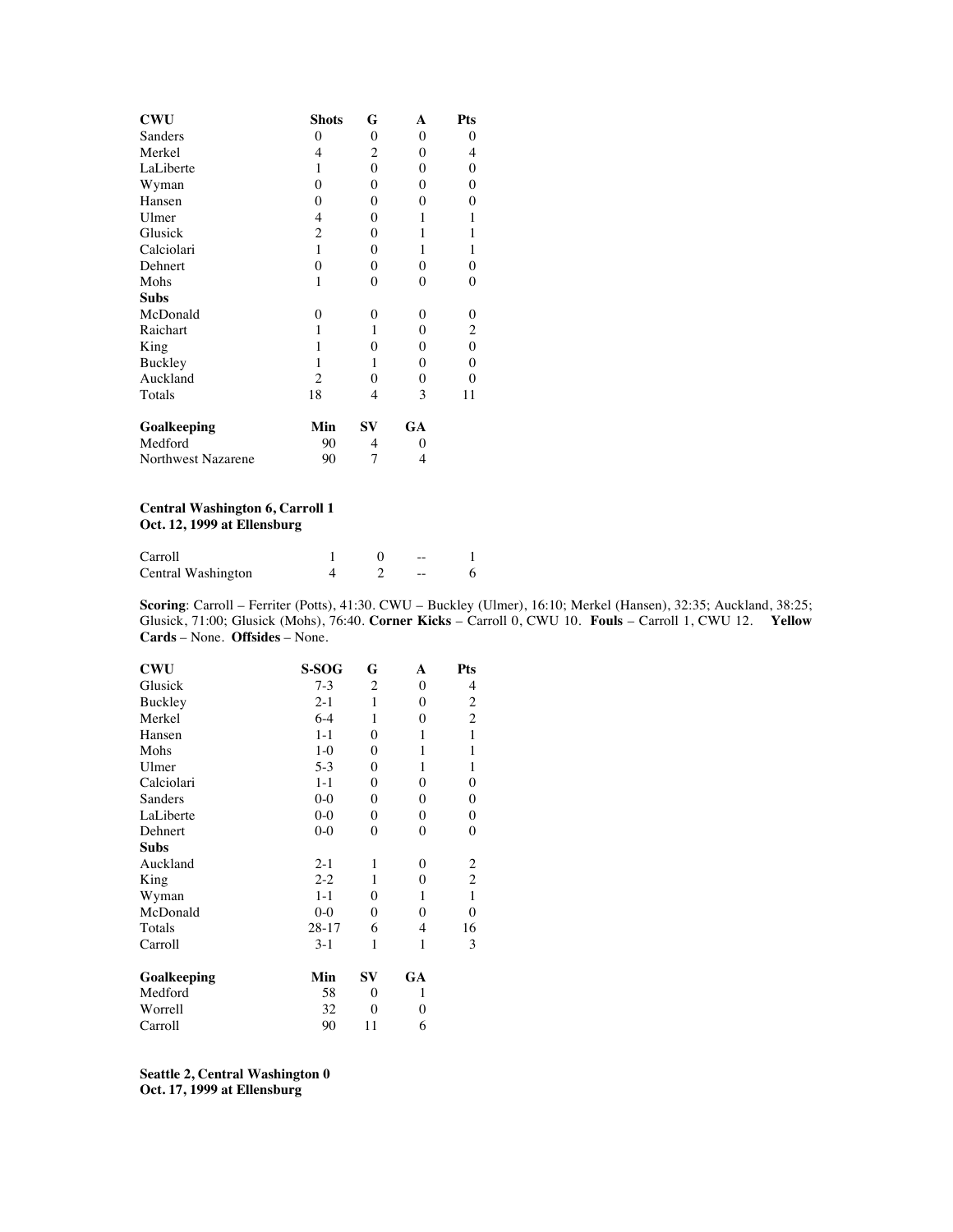| <b>CWU</b>         | <b>Shots</b>   | G        | A        | Pts            |
|--------------------|----------------|----------|----------|----------------|
| Sanders            | 0              | $\theta$ | $\theta$ | 0              |
| Merkel             | 4              | 2        | 0        | 4              |
| LaLiberte          | 1              | $\theta$ | $\theta$ | 0              |
| Wyman              | $\theta$       | $\theta$ | $\theta$ | 0              |
| Hansen             | $\theta$       | $\theta$ | 0        | 0              |
| Ulmer              | 4              | $\theta$ | 1        | 1              |
| Glusick            | $\overline{c}$ | 0        | 1        | 1              |
| Calciolari         | 1              | $\theta$ | 1        | $\mathbf{1}$   |
| Dehnert            | $\Omega$       | $\theta$ | 0        | 0              |
| Mohs               | 1              | 0        | $\theta$ | 0              |
| <b>Subs</b>        |                |          |          |                |
| McDonald           | 0              | 0        | 0        | 0              |
| Raichart           | 1              | 1        | 0        | $\overline{c}$ |
| King               | 1              | $\theta$ | 0        | 0              |
| Buckley            | 1              | 1        | $\theta$ | 0              |
| Auckland           | 2              | 0        | 0        | 0              |
| Totals             | 18             | 4        | 3        | 11             |
| Goalkeeping        | Min            | SV       | GA       |                |
| Medford            | 90             | 4        | 0        |                |
| Northwest Nazarene | 90             | 7        | 4        |                |

#### **Central Washington 6, Carroll 1 Oct. 12, 1999 at Ellensburg**

| Carroll            |  | -- |  |
|--------------------|--|----|--|
| Central Washington |  | -- |  |

**Scoring**: Carroll – Ferriter (Potts), 41:30. CWU – Buckley (Ulmer), 16:10; Merkel (Hansen), 32:35; Auckland, 38:25; Glusick, 71:00; Glusick (Mohs), 76:40. **Corner Kicks** – Carroll 0, CWU 10. **Fouls** – Carroll 1, CWU 12. **Yellow Cards** – None. **Offsides** – None.

| CWU         | S-SOG     | G              | A                | Pts                     |
|-------------|-----------|----------------|------------------|-------------------------|
| Glusick     | $7-3$     | 2              | $\boldsymbol{0}$ | 4                       |
| Buckley     | $2 - 1$   | 1              | $\Omega$         | $\overline{\mathbf{c}}$ |
| Merkel      | $6 - 4$   | 1              | 0                | $\overline{c}$          |
| Hansen      | $1 - 1$   | $\overline{0}$ | 1                | $\,1$                   |
| Mohs        | $1-0$     | 0              | 1                | $\,1$                   |
| Ulmer       | $5-3$     | 0              | 1                | $\mathbf{1}$            |
| Calciolari  | $1 - 1$   | $\overline{0}$ | $\overline{0}$   | $\boldsymbol{0}$        |
| Sanders     | $0-0$     | 0              | $\mathbf{0}$     | $\boldsymbol{0}$        |
| LaLiberte   | $0 - 0$   | 0              | $\boldsymbol{0}$ | $\boldsymbol{0}$        |
| Dehnert     | $0 - 0$   | 0              | $\theta$         | $\boldsymbol{0}$        |
| Subs        |           |                |                  |                         |
| Auckland    | $2 - 1$   | 1              | $\boldsymbol{0}$ |                         |
| King        | $2 - 2$   | 1              | $\boldsymbol{0}$ | $\frac{2}{2}$           |
| Wyman       | $1 - 1$   | 0              | 1                | $\mathbf{1}$            |
| McDonald    | $0 - 0$   | 0              | $\overline{0}$   | $\boldsymbol{0}$        |
| Totals      | $28 - 17$ | 6              | 4                | 16                      |
| Carroll     | $3-1$     | 1              | 1                | 3                       |
| Goalkeeping | Min       | SV             | GA               |                         |
| Medford     | 58        | 0              | 1                |                         |
| Worrell     | 32        | 0              | 0                |                         |
| Carroll     | 90        | 11             | 6                |                         |
|             |           |                |                  |                         |

**Seattle 2, Central Washington 0 Oct. 17, 1999 at Ellensburg**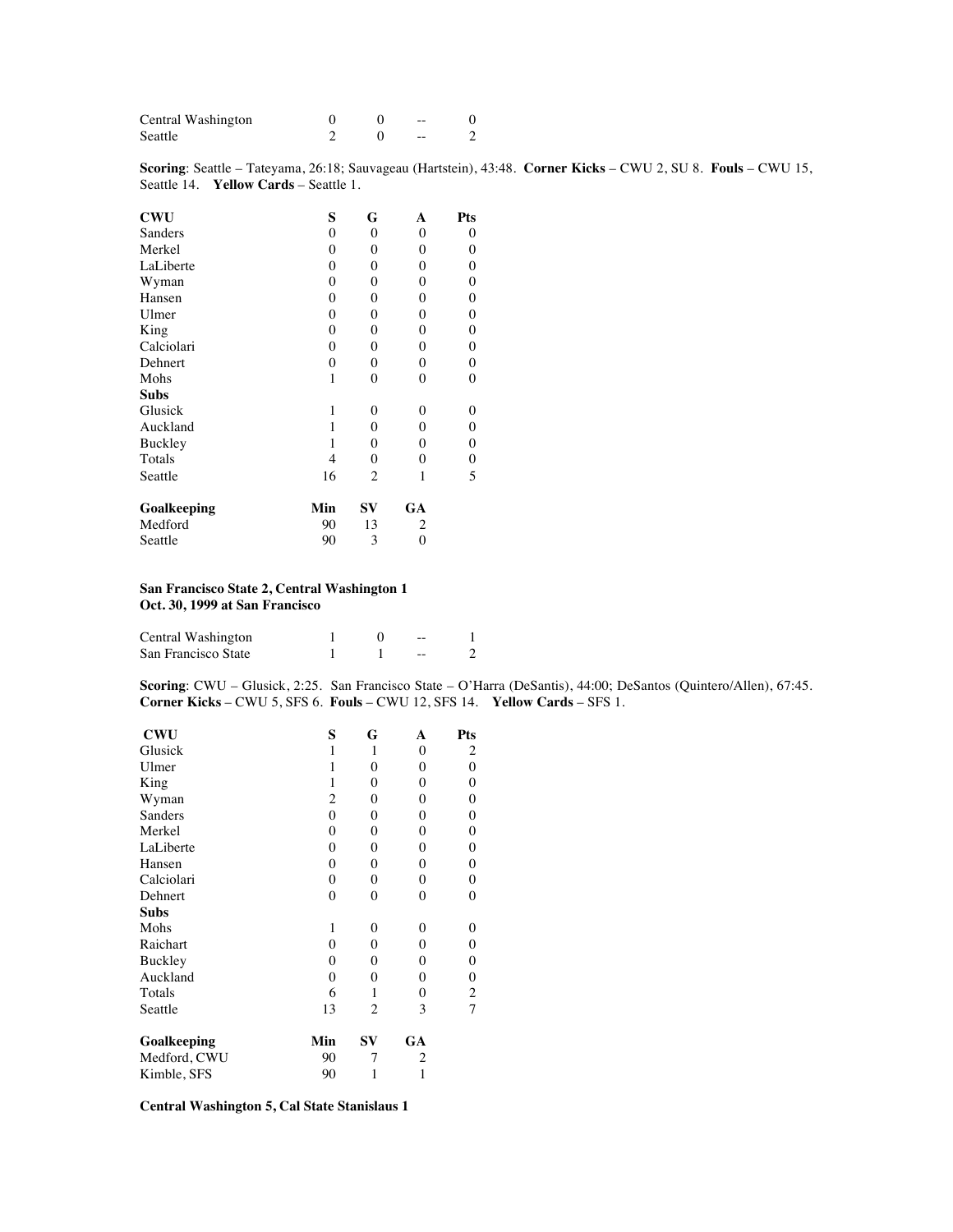| Central Washington |  | $- -$ |  |
|--------------------|--|-------|--|
| Seattle            |  | --    |  |

**Scoring**: Seattle – Tateyama, 26:18; Sauvageau (Hartstein), 43:48. **Corner Kicks** – CWU 2, SU 8. **Fouls** – CWU 15, Seattle 14. **Yellow Cards** – Seattle 1.

| <b>CWU</b>  | S        | G            | A            | Pts              |
|-------------|----------|--------------|--------------|------------------|
| Sanders     | 0        | $\theta$     | $\theta$     | 0                |
| Merkel      | 0        | $\mathbf{0}$ | $\mathbf{0}$ | 0                |
| LaLiberte   | $\theta$ | $\theta$     | $\theta$     | 0                |
| Wyman       | 0        | $\mathbf{0}$ | $\mathbf{0}$ | 0                |
| Hansen      | 0        | $\mathbf{0}$ | $\theta$     | 0                |
| Ulmer       | 0        | $\mathbf{0}$ | $\theta$     | 0                |
| King        | $\theta$ | $\theta$     | $\theta$     | 0                |
| Calciolari  | $\theta$ | $\theta$     | $\theta$     | 0                |
| Dehnert     | $\theta$ | $\mathbf{0}$ | $\theta$     | $\overline{0}$   |
| Mohs        | 1        | $\mathbf{0}$ | $\theta$     | 0                |
| <b>Subs</b> |          |              |              |                  |
| Glusick     | 1        | 0            | $\theta$     | 0                |
| Auckland    | 1        | $\mathbf{0}$ | $\theta$     | 0                |
| Buckley     | 1        | $\theta$     | $\theta$     | $\boldsymbol{0}$ |
| Totals      | 4        | $\theta$     | $\theta$     | 0                |
| Seattle     | 16       | 2            | 1            | 5                |
| Goalkeeping | Min      | SV           | GA           |                  |
| Medford     | 90       | 13           | 2            |                  |
| Seattle     | 90       | 3            | 0            |                  |

#### **San Francisco State 2, Central Washington 1 Oct. 30, 1999 at San Francisco**

| Central Washington  |  | $- -$ |  |
|---------------------|--|-------|--|
| San Francisco State |  | $- -$ |  |

**Scoring**: CWU – Glusick, 2:25. San Francisco State – O'Harra (DeSantis), 44:00; DeSantos (Quintero/Allen), 67:45. **Corner Kicks** – CWU 5, SFS 6. **Fouls** – CWU 12, SFS 14. **Yellow Cards** – SFS 1.

| <b>CWU</b>   | S              | G              | A                | Pts                     |
|--------------|----------------|----------------|------------------|-------------------------|
| Glusick      | $\mathbf{1}$   | 1              | 0                | $\overline{c}$          |
| Ulmer        | 1              | $\overline{0}$ | 0                | 0                       |
| King         | 1              | $\theta$       | $\boldsymbol{0}$ | $\boldsymbol{0}$        |
| Wyman        | $\overline{c}$ | $\overline{0}$ | $\theta$         | $\boldsymbol{0}$        |
| Sanders      | $\theta$       | $\overline{0}$ | $\theta$         | $\boldsymbol{0}$        |
| Merkel       | $\overline{0}$ | $\overline{0}$ | $\mathbf{0}$     | $\boldsymbol{0}$        |
| LaLiberte    | $\overline{0}$ | $\overline{0}$ | 0                | $\boldsymbol{0}$        |
| Hansen       | $\overline{0}$ | $\overline{0}$ | $\boldsymbol{0}$ | $\boldsymbol{0}$        |
| Calciolari   | $\overline{0}$ | $\overline{0}$ | $\mathbf{0}$     | $\boldsymbol{0}$        |
| Dehnert      | $\overline{0}$ | $\overline{0}$ | $\theta$         | $\boldsymbol{0}$        |
| Subs         |                |                |                  |                         |
| Mohs         | 1              | $\overline{0}$ | $\theta$         | 0                       |
| Raichart     | $\overline{0}$ | 0              | $\boldsymbol{0}$ | $\boldsymbol{0}$        |
| Buckley      | $\overline{0}$ | $\overline{0}$ | 0                | $\boldsymbol{0}$        |
| Auckland     | $\overline{0}$ | $\overline{0}$ | 0                | $\boldsymbol{0}$        |
| Totals       | 6              | 1              | $\theta$         | $\overline{\mathbf{c}}$ |
| Seattle      | 13             | 2              | 3                | $\overline{7}$          |
| Goalkeeping  | Min            | $S_{\rm V}$    | GA               |                         |
| Medford, CWU | 90             | 7              | 2                |                         |
| Kimble, SFS  | 90             | 1              | 1                |                         |

#### **Central Washington 5, Cal State Stanislaus 1**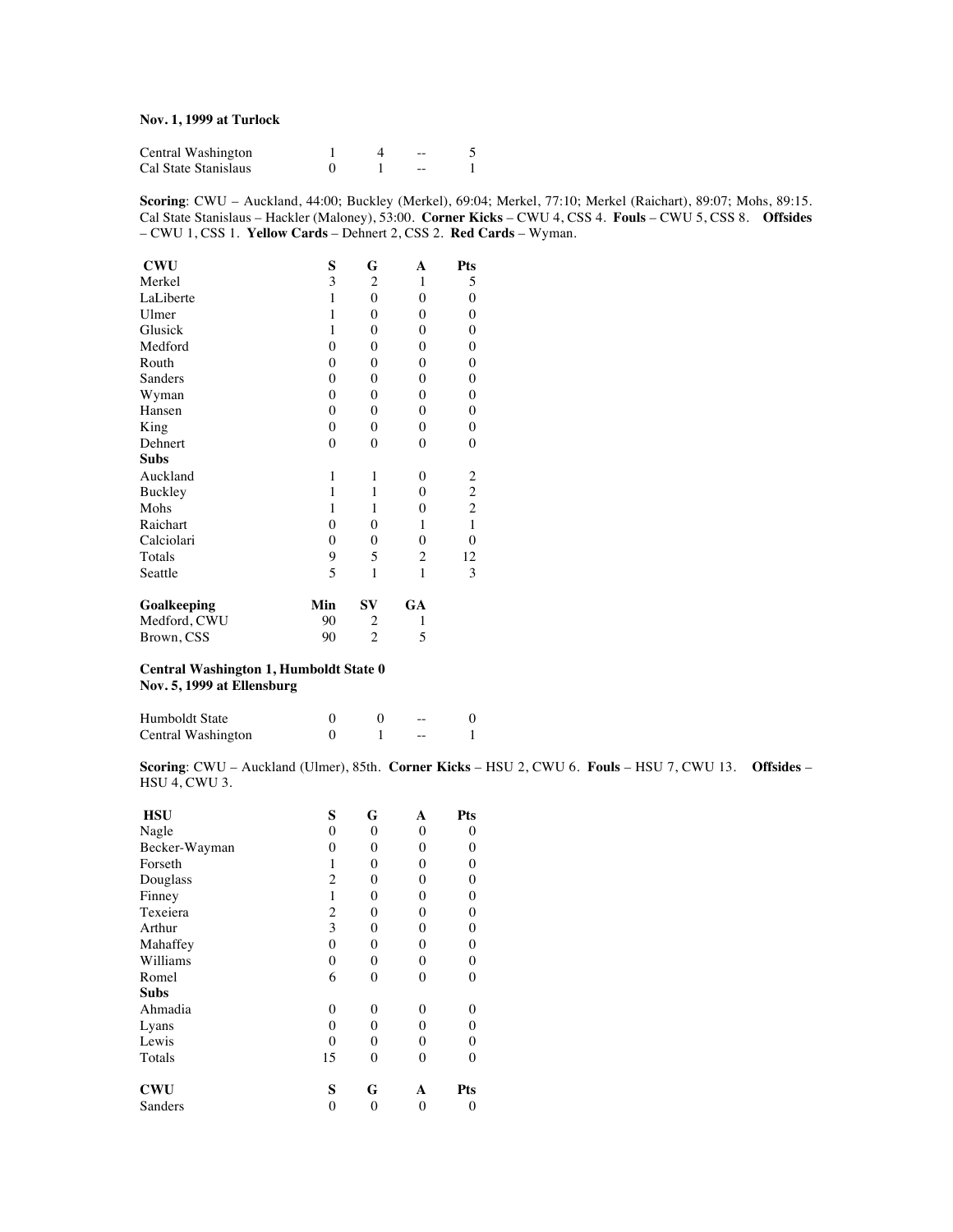#### **Nov. 1, 1999 at Turlock**

| Central Washington   |  | $- -$ |  |
|----------------------|--|-------|--|
| Cal State Stanislaus |  | --    |  |

**Scoring**: CWU – Auckland, 44:00; Buckley (Merkel), 69:04; Merkel, 77:10; Merkel (Raichart), 89:07; Mohs, 89:15. Cal State Stanislaus – Hackler (Maloney), 53:00. **Corner Kicks** – CWU 4, CSS 4. **Fouls** – CWU 5, CSS 8. **Offsides** – CWU 1, CSS 1. **Yellow Cards** – Dehnert 2, CSS 2. **Red Cards** – Wyman.

| <b>CWU</b>   | S              | G              | A                | Pts              |
|--------------|----------------|----------------|------------------|------------------|
| Merkel       | 3              | $\overline{c}$ | 1                | 5                |
| LaLiberte    | 1              | $\overline{0}$ | $\theta$         | $\boldsymbol{0}$ |
| Ulmer        | $\mathbf{1}$   | $\mathbf{0}$   | $\boldsymbol{0}$ | $\boldsymbol{0}$ |
| Glusick      | 1              | $\mathbf{0}$   | $\theta$         | $\boldsymbol{0}$ |
| Medford      | $\theta$       | 0              | $\theta$         | $\boldsymbol{0}$ |
| Routh        | $\mathbf{0}$   | 0              | $\boldsymbol{0}$ | $\boldsymbol{0}$ |
| Sanders      | $\overline{0}$ | 0              | $\boldsymbol{0}$ | $\boldsymbol{0}$ |
| Wyman        | $\overline{0}$ | $\overline{0}$ | $\mathbf{0}$     | $\boldsymbol{0}$ |
| Hansen       | $\overline{0}$ | 0              | $\boldsymbol{0}$ | $\boldsymbol{0}$ |
| King         | $\mathbf{0}$   | $\mathbf{0}$   | $\mathbf{0}$     | $\boldsymbol{0}$ |
| Dehnert      | $\mathbf{0}$   | $\overline{0}$ | $\theta$         | $\boldsymbol{0}$ |
| Subs         |                |                |                  |                  |
| Auckland     | 1              | 1              | $\theta$         |                  |
| Buckley      | 1              | $\mathbf{1}$   | $\mathbf{0}$     | $\frac{2}{2}$    |
| Mohs         | 1              | 1              | $\overline{0}$   |                  |
| Raichart     | $\overline{0}$ | $\overline{0}$ | 1                | $\,1$            |
| Calciolari   | 0              | 0              | $\theta$         | $\boldsymbol{0}$ |
| Totals       | 9              | 5              | $\overline{c}$   | 12               |
| Seattle      | 5              | 1              | 1                | 3                |
| Goalkeeping  | Min            | SV             | GA               |                  |
| Medford, CWU | 90             | 2              | 1                |                  |
| Brown, CSS   | 90             | $\overline{c}$ | 5                |                  |

#### **Central Washington 1, Humboldt State 0 Nov. 5, 1999 at Ellensburg**

| Humboldt State     |  | $- -$ |  |
|--------------------|--|-------|--|
| Central Washington |  | $- -$ |  |

**Scoring**: CWU – Auckland (Ulmer), 85th. **Corner Kicks** – HSU 2, CWU 6. **Fouls** – HSU 7, CWU 13. **Offsides** – HSU 4, CWU 3.

| <b>HSU</b>    | S        | G        | A              | Pts            |
|---------------|----------|----------|----------------|----------------|
| Nagle         | 0        | $\theta$ | $\overline{0}$ | 0              |
| Becker-Wayman | 0        | $\theta$ | $\theta$       | 0              |
| Forseth       | 1        | $\theta$ | 0              | 0              |
| Douglass      | 2        | $\theta$ | 0              | 0              |
| Finney        | 1        | $\theta$ | 0              | 0              |
| Texeiera      | 2        | $\theta$ | 0              | $\overline{0}$ |
| Arthur        | 3        | $\theta$ | 0              | 0              |
| Mahaffey      | 0        | $\theta$ | $\overline{0}$ | 0              |
| Williams      | 0        | $\theta$ | $\overline{0}$ | 0              |
| Romel         | 6        | $\theta$ | $\theta$       | $\overline{0}$ |
| Subs          |          |          |                |                |
| Ahmadia       | 0        | $\Omega$ | 0              | 0              |
| Lyans         | 0        | $\theta$ | 0              | 0              |
| Lewis         | $\theta$ | $\theta$ | $\theta$       | 0              |
| Totals        | 15       | $\theta$ | $\theta$       | $\theta$       |
| CWU           | S        | G        | А              | Pts            |
| Sanders       | 0        | 0        | 0              | 0              |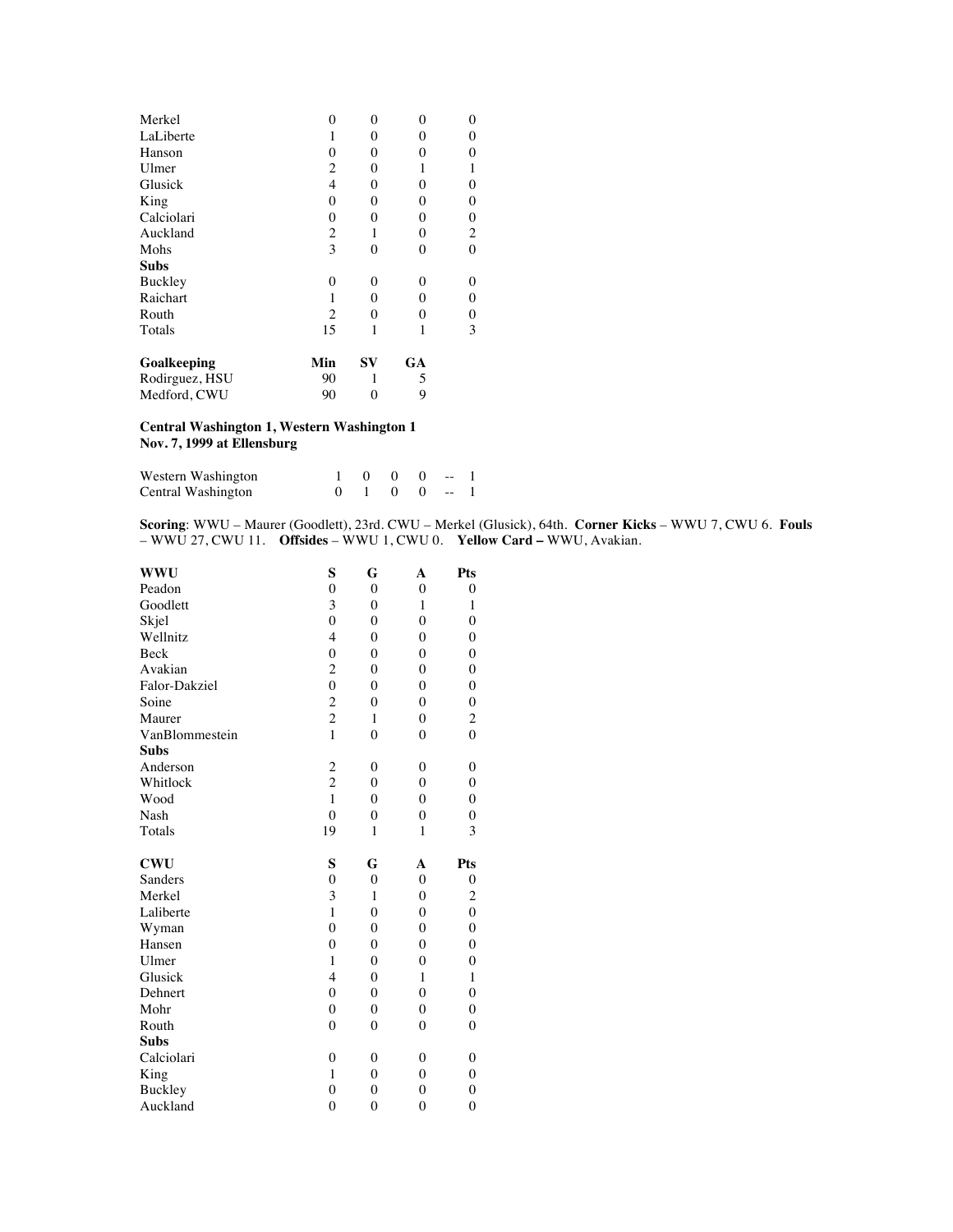| Merkel         | 0        | 0        | 0        | 0                |
|----------------|----------|----------|----------|------------------|
| LaLiberte      |          | 0        | 0        | 0                |
| Hanson         | 0        | 0        | 0        | 0                |
| Ulmer          | 2        | 0        |          | 1                |
| Glusick        | 4        | 0        | $\Omega$ | 0                |
| King           | 0        | 0        | $\theta$ | 0                |
| Calciolari     | $\theta$ | 0        | $\theta$ | $\boldsymbol{0}$ |
| Auckland       | 2        | 1        | 0        | $\overline{c}$   |
| Mohs           | 3        | 0        | $\theta$ | 0                |
| Subs           |          |          |          |                  |
| Buckley        | 0        | 0        | $\Omega$ | 0                |
| Raichart       |          | 0        | 0        | 0                |
| Routh          | 2        | $\theta$ | 0        | 0                |
| Totals         | 15       | 1        |          | 3                |
| Goalkeeping    | Min      | SV       | GA       |                  |
| Rodirguez, HSU | 90       |          | 5        |                  |
| Medford, CWU   | 90       | 0        | 9        |                  |

#### **Central Washington 1, Western Washington 1 Nov. 7, 1999 at Ellensburg**

| Western Washington |  | $1 \t 0 \t 0 \t 0 \t -1$ |  |  |
|--------------------|--|--------------------------|--|--|
| Central Washington |  | $0 \t1 \t0 \t0 \t-1$     |  |  |

**Scoring**: WWU – Maurer (Goodlett), 23rd. CWU – Merkel (Glusick), 64th. **Corner Kicks** – WWU 7, CWU 6. **Fouls** – WWU 27, CWU 11. **Offsides** – WWU 1, CWU 0. **Yellow Card –** WWU, Avakian.

| WWU            | S              | G              | A              | Pts              |
|----------------|----------------|----------------|----------------|------------------|
| Peadon         | $\theta$       | $\mathbf{0}$   | $\theta$       | 0                |
| Goodlett       | 3              | $\overline{0}$ | $\mathbf{1}$   | $\mathbf{1}$     |
| Skjel          | $\overline{0}$ | $\overline{0}$ | $\overline{0}$ | $\overline{0}$   |
| Wellnitz       | $\overline{4}$ | $\theta$       | $\overline{0}$ | $\overline{0}$   |
| Beck           | $\overline{0}$ | $\overline{0}$ | $\theta$       | $\overline{0}$   |
| Avakian        | $\overline{c}$ | $\theta$       | $\theta$       | $\theta$         |
| Falor-Dakziel  | $\overline{0}$ | $\overline{0}$ | $\theta$       | $\theta$         |
| Soine          | $\overline{c}$ | $\overline{0}$ | $\overline{0}$ | $\overline{0}$   |
| Maurer         | $\overline{c}$ | $\mathbf{1}$   | $\overline{0}$ | $\overline{c}$   |
| VanBlommestein | $\mathbf{1}$   | $\theta$       | $\overline{0}$ | $\overline{0}$   |
| <b>Subs</b>    |                |                |                |                  |
| Anderson       | $\overline{c}$ | $\theta$       | $\mathbf{0}$   | $\boldsymbol{0}$ |
| Whitlock       | $\overline{c}$ | $\overline{0}$ | $\theta$       | $\boldsymbol{0}$ |
| Wood           | $\mathbf{1}$   | $\theta$       | $\theta$       | $\overline{0}$   |
| Nash           | $\overline{0}$ | $\overline{0}$ | $\overline{0}$ | $\overline{0}$   |
| Totals         | 19             | 1              | $\mathbf{1}$   | 3                |
| <b>CWU</b>     | S              | G              | A              | Pts              |
| Sanders        | $\overline{0}$ | $\overline{0}$ | $\overline{0}$ | $\overline{0}$   |
| Merkel         | 3              | $\mathbf{1}$   | $\overline{0}$ | $\overline{c}$   |
| Laliberte      | $\mathbf{1}$   | $\overline{0}$ | $\overline{0}$ | $\mathbf{0}$     |
| Wyman          | $\overline{0}$ | $\theta$       | $\theta$       | $\mathbf{0}$     |
| Hansen         | $\overline{0}$ | $\overline{0}$ | $\overline{0}$ | $\mathbf{0}$     |
| Ulmer          | $\mathbf{1}$   | $\theta$       | $\theta$       | $\overline{0}$   |
| Glusick        | 4              | $\theta$       | 1              | $\mathbf{1}$     |
| Dehnert        | $\overline{0}$ | $\overline{0}$ | $\overline{0}$ | $\theta$         |
| Mohr           | $\overline{0}$ | $\overline{0}$ | $\mathbf{0}$   | $\boldsymbol{0}$ |
| Routh          | $\overline{0}$ | $\theta$       | $\overline{0}$ | $\overline{0}$   |
| <b>Subs</b>    |                |                |                |                  |
| Calciolari     | $\overline{0}$ | $\theta$       | $\overline{0}$ | $\boldsymbol{0}$ |
| King           | 1              | $\theta$       | $\theta$       | $\boldsymbol{0}$ |
| Buckley        | $\overline{0}$ | $\theta$       | $\overline{0}$ | 0                |
| Auckland       | $\overline{0}$ | $\overline{0}$ | $\overline{0}$ | $\mathbf{0}$     |